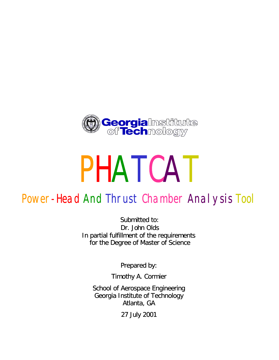

# PHATCAT

## Power-Head And Thrust Chamber Analysis Tool

Submitted to: Dr. John Olds In partial fulfillment of the requirements for the Degree of Master of Science

Prepared by:

Timothy A. Cormier

School of Aerospace Engineering Georgia Institute of Technology Atlanta, GA

27 July 2001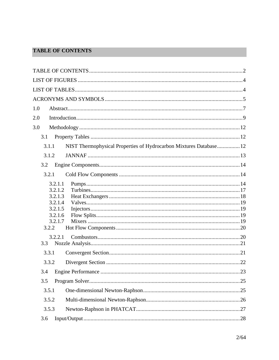#### **TABLE OF CONTENTS**

| 1.0                                                                                |  |
|------------------------------------------------------------------------------------|--|
| 2.0                                                                                |  |
| 3.0                                                                                |  |
| 3.1                                                                                |  |
| NIST Thermophysical Properties of Hydrocarbon Mixtures Database 12<br>3.1.1        |  |
| 3.1.2                                                                              |  |
| 3.2                                                                                |  |
| 3.2.1                                                                              |  |
| 3.2.1.1<br>3.2.1.2<br>3.2.1.3<br>3.2.1.4<br>3.2.1.5<br>3.2.1.6<br>3.2.1.7<br>3.2.2 |  |
| 3.2.2.1<br>3.3                                                                     |  |
| 3.3.1                                                                              |  |
| 3.3.2                                                                              |  |
|                                                                                    |  |
| 3.5                                                                                |  |
| 3.5.1                                                                              |  |
| 3.5.2                                                                              |  |
| 3.5.3                                                                              |  |
| 3.6                                                                                |  |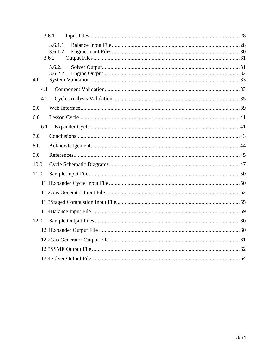|      | 3.6.1 |                    |  |
|------|-------|--------------------|--|
|      | 3.6.2 | 3.6.1.1<br>3.6.1.2 |  |
| 4.0  |       | 3.6.2.1<br>3.6.2.2 |  |
|      | 4.1   |                    |  |
|      | 4.2   |                    |  |
| 5.0  |       |                    |  |
| 6.0  |       |                    |  |
|      | 6.1   |                    |  |
| 7.0  |       |                    |  |
| 8.0  |       |                    |  |
| 9.0  |       |                    |  |
| 10.0 |       |                    |  |
| 11.0 |       |                    |  |
|      |       |                    |  |
|      |       |                    |  |
|      |       |                    |  |
|      |       |                    |  |
| 12.0 |       |                    |  |
|      |       |                    |  |
|      |       |                    |  |
|      |       |                    |  |
|      |       |                    |  |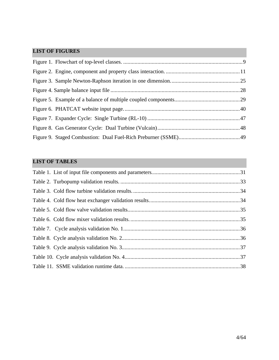#### **LIST OF FIGURES**

#### **LIST OF TABLES**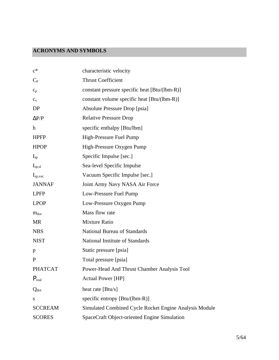#### **ACRONYMS AND SYMBOLS**

| $c^*$             | characteristic velocity                                |
|-------------------|--------------------------------------------------------|
| $C_F$             | <b>Thrust Coefficient</b>                              |
| $C_p$             | constant pressure specific heat [Btu/(lbm-R)]          |
| $C_V$             | constant volume specific heat [Btu/(lbm-R)]            |
| DP                | Absolute Pressure Drop [psia]                          |
| $\Delta P/P$      | <b>Relative Pressure Drop</b>                          |
| $\mathbf h$       | specific enthalpy [Btu/lbm]                            |
| <b>HPFP</b>       | High-Pressure Fuel Pump                                |
| <b>HPOP</b>       | High-Pressure Oxygen Pump                              |
| $I_{sp}$          | Specific Impulse [sec.]                                |
| $I_{sp,sl}$       | Sea-level Specific Impulse                             |
| $I_{sp,vac}$      | Vacuum Specific Impulse [sec.]                         |
| <b>JANNAF</b>     | Joint Army Navy NASA Air Force                         |
| <b>LPFP</b>       | Low-Pressure Fuel Pump                                 |
| <b>LPOP</b>       | Low-Pressure Oxygen Pump                               |
| $m_{dot}$         | Mass flow rate                                         |
| <b>MR</b>         | <b>Mixture Ratio</b>                                   |
| <b>NBS</b>        | <b>National Bureau of Standards</b>                    |
| <b>NIST</b>       | National Institute of Standards                        |
| p                 | Static pressure [psia]                                 |
| P                 | Total pressure [psia]                                  |
| <b>PHATCAT</b>    | Power-Head And Thrust Chamber Analysis Tool            |
| $P_{\text{real}}$ | <b>Actual Power [HP]</b>                               |
| $Q_{dot}$         | heat rate [Btu/s]                                      |
| S                 | specific entropy [Btu/(lbm-R)]                         |
| <b>SCCREAM</b>    | Simulated Combined Cycle Rocket Engine Analysis Module |
| <b>SCORES</b>     | SpaceCraft Object-oriented Engine Simulation           |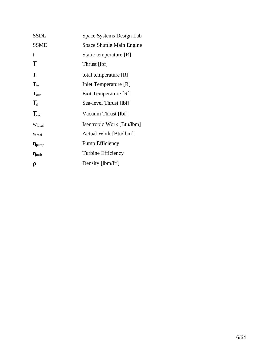| <b>SSDL</b>            | Space Systems Design Lab  |
|------------------------|---------------------------|
| <b>SSME</b>            | Space Shuttle Main Engine |
| t                      | Static temperature [R]    |
| Τ                      | Thrust [lbf]              |
| T                      | total temperature [R]     |
| $T_{in}$               | Inlet Temperature [R]     |
| $\rm T_{out}$          | Exit Temperature [R]      |
| $T_{sl}$               | Sea-level Thrust [lbf]    |
| $T_{\rm vac}$          | Vacuum Thrust [lbf]       |
| Wideal                 | Isentropic Work [Btu/lbm] |
| Wreal                  | Actual Work [Btu/lbm]     |
| $\eta_{\mathrm{pump}}$ | Pump Efficiency           |
| $\eta_{\rm turb}$      | Turbine Efficiency        |
| ρ                      | Density [ $lbm/ft^3$ ]    |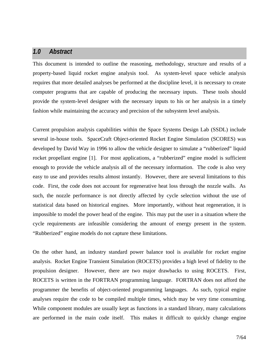#### *1.0 Abstract*

This document is intended to outline the reasoning, methodology, structure and results of a property-based liquid rocket engine analysis tool. As system-level space vehicle analysis requires that more detailed analyses be performed at the discipline level, it is necessary to create computer programs that are capable of producing the necessary inputs. These tools should provide the system-level designer with the necessary inputs to his or her analysis in a timely fashion while maintaining the accuracy and precision of the subsystem level analysis.

Current propulsion analysis capabilities within the Space Systems Design Lab (SSDL) include several in-house tools. SpaceCraft Object-oriented Rocket Engine Simulation (SCORES) was developed by David Way in 1996 to allow the vehicle designer to simulate a "rubberized" liquid rocket propellant engine [1]. For most applications, a "rubberized" engine model is sufficient enough to provide the vehicle analysis all of the necessary information. The code is also very easy to use and provides results almost instantly. However, there are several limitations to this code. First, the code does not account for regenerative heat loss through the nozzle walls. As such, the nozzle performance is not directly affected by cycle selection without the use of statistical data based on historical engines. More importantly, without heat regeneration, it is impossible to model the power head of the engine. This may put the user in a situation where the cycle requirements are infeasible considering the amount of energy present in the system. "Rubberized" engine models do not capture these limitations.

On the other hand, an industry standard power balance tool is available for rocket engine analysis. Rocket Engine Transient Simulation (ROCETS) provides a high level of fidelity to the propulsion designer. However, there are two major drawbacks to using ROCETS. First, ROCETS is written in the FORTRAN programming language. FORTRAN does not afford the programmer the benefits of object-oriented programming languages. As such, typical engine analyses require the code to be compiled multiple times, which may be very time consuming. While component modules are usually kept as functions in a standard library, many calculations are performed in the main code itself. This makes it difficult to quickly change engine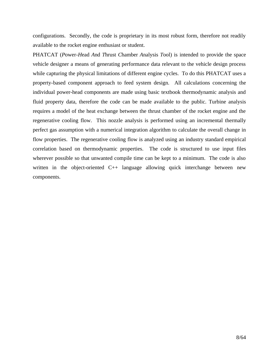configurations. Secondly, the code is proprietary in its most robust form, therefore not readily available to the rocket engine enthusiast or student.

PHATCAT (*P*ower-*H*ead *A*nd *T*hrust *C*hamber *A*nalysis *T*ool) is intended to provide the space vehicle designer a means of generating performance data relevant to the vehicle design process while capturing the physical limitations of different engine cycles. To do this PHATCAT uses a property-based component approach to feed system design. All calculations concerning the individual power-head components are made using basic textbook thermodynamic analysis and fluid property data, therefore the code can be made available to the public. Turbine analysis requires a model of the heat exchange between the thrust chamber of the rocket engine and the regenerative cooling flow. This nozzle analysis is performed using an incremental thermally perfect gas assumption with a numerical integration algorithm to calculate the overall change in flow properties. The regenerative cooling flow is analyzed using an industry standard empirical correlation based on thermodynamic properties. The code is structured to use input files wherever possible so that unwanted compile time can be kept to a minimum. The code is also written in the object-oriented C++ language allowing quick interchange between new components.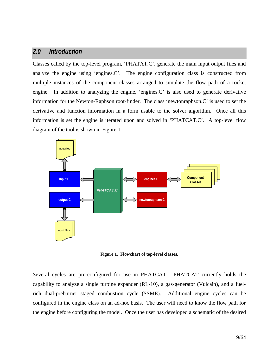#### *2.0 Introduction*

Classes called by the top-level program, 'PHATAT.C', generate the main input output files and analyze the engine using 'engines.C'. The engine configuration class is constructed from multiple instances of the component classes arranged to simulate the flow path of a rocket engine. In addition to analyzing the engine, 'engines.C' is also used to generate derivative information for the Newton-Raphson root-finder. The class 'newtonraphson.C' is used to set the derivative and function information in a form usable to the solver algorithm. Once all this information is set the engine is iterated upon and solved in 'PHATCAT.C'. A top-level flow diagram of the tool is shown in Figure 1.



**Figure 1. Flowchart of top-level classes.**

Several cycles are pre-configured for use in PHATCAT. PHATCAT currently holds the capability to analyze a single turbine expander (RL-10), a gas-generator (Vulcain), and a fuelrich dual-preburner staged combustion cycle (SSME). Additional engine cycles can be configured in the engine class on an ad-hoc basis. The user will need to know the flow path for the engine before configuring the model. Once the user has developed a schematic of the desired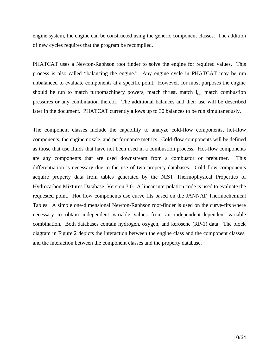engine system, the engine can be constructed using the generic component classes. The addition of new cycles requires that the program be recompiled.

PHATCAT uses a Newton-Raphson root finder to solve the engine for required values. This process is also called "balancing the engine." Any engine cycle in PHATCAT may be run unbalanced to evaluate components at a specific point. However, for most purposes the engine should be run to match turbomachinery powers, match thrust, match  $I_{\rm SD}$ , match combustion pressures or any combination thereof. The additional balances and their use will be described later in the document. PHATCAT currently allows up to 30 balances to be run simultaneously.

The component classes include the capability to analyze cold-flow components, hot-flow components, the engine nozzle, and performance metrics. Cold-flow components will be defined as those that use fluids that have not been used in a combustion process. Hot-flow components are any components that are used downstream from a combustor or preburner. This differentiation is necessary due to the use of two property databases. Cold flow components acquire property data from tables generated by the NIST Thermophysical Properties of Hydrocarbon Mixtures Database: Version 3.0. A linear interpolation code is used to evaluate the requested point. Hot flow components use curve fits based on the JANNAF Thermochemical Tables. A simple one-dimensional Newton-Raphson root-finder is used on the curve-fits where necessary to obtain independent variable values from an independent-dependent variable combination. Both databases contain hydrogen, oxygen, and kerosene (RP-1) data. The block diagram in Figure 2 depicts the interaction between the engine class and the component classes, and the interaction between the component classes and the property database.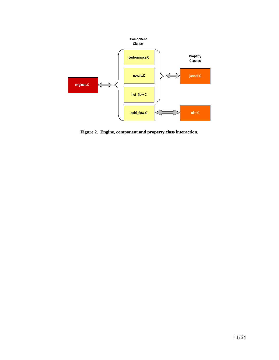

**Figure 2. Engine, component and property class interaction.**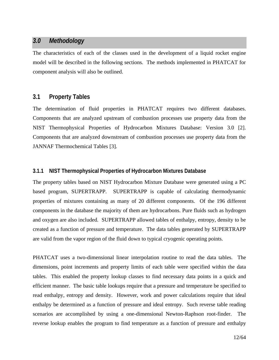#### *3.0 Methodology*

The characteristics of each of the classes used in the development of a liquid rocket engine model will be described in the following sections. The methods implemented in PHATCAT for component analysis will also be outlined.

#### **3.1 Property Tables**

The determination of fluid properties in PHATCAT requires two different databases. Components that are analyzed upstream of combustion processes use property data from the NIST Thermophysical Properties of Hydrocarbon Mixtures Database: Version 3.0 [2]. Components that are analyzed downstream of combustion processes use property data from the JANNAF Thermochemical Tables [3].

#### **3.1.1 NIST Thermophysical Properties of Hydrocarbon Mixtures Database**

The property tables based on NIST Hydrocarbon Mixture Database were generated using a PC based program, SUPERTRAPP. SUPERTRAPP is capable of calculating thermodynamic properties of mixtures containing as many of 20 different components. Of the 196 different components in the database the majority of them are hydrocarbons. Pure fluids such as hydrogen and oxygen are also included. SUPERTRAPP allowed tables of enthalpy, entropy, density to be created as a function of pressure and temperature. The data tables generated by SUPERTRAPP are valid from the vapor region of the fluid down to typical cryogenic operating points.

PHATCAT uses a two-dimensional linear interpolation routine to read the data tables. The dimensions, point increments and property limits of each table were specified within the data tables. This enabled the property lookup classes to find necessary data points in a quick and efficient manner. The basic table lookups require that a pressure and temperature be specified to read enthalpy, entropy and density. However, work and power calculations require that ideal enthalpy be determined as a function of pressure and ideal entropy. Such reverse table reading scenarios are accomplished by using a one-dimensional Newton-Raphson root-finder. The reverse lookup enables the program to find temperature as a function of pressure and enthalpy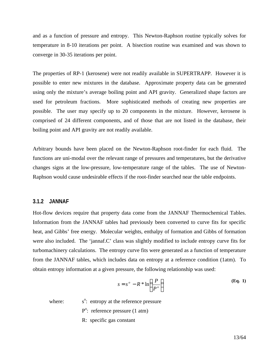and as a function of pressure and entropy. This Newton-Raphson routine typically solves for temperature in 8-10 iterations per point. A bisection routine was examined and was shown to converge in 30-35 iterations per point.

The properties of RP-1 (kerosene) were not readily available in SUPERTRAPP. However it is possible to enter new mixtures in the database. Approximate property data can be generated using only the mixture's average boiling point and API gravity. Generalized shape factors are used for petroleum fractions. More sophisticated methods of creating new properties are possible. The user may specify up to 20 components in the mixture. However, kerosene is comprised of 24 different components, and of those that are not listed in the database, their boiling point and API gravity are not readily available.

Arbitrary bounds have been placed on the Newton-Raphson root-finder for each fluid. The functions are uni-modal over the relevant range of pressures and temperatures, but the derivative changes signs at the low-pressure, low-temperature range of the tables. The use of Newton-Raphson would cause undesirable effects if the root-finder searched near the table endpoints.

#### **3.1.2 JANNAF**

Hot-flow devices require that property data come from the JANNAF Thermochemical Tables. Information from the JANNAF tables had previously been converted to curve fits for specific heat, and Gibbs' free energy. Molecular weights, enthalpy of formation and Gibbs of formation were also included. The 'jannaf.C' class was slightly modified to include entropy curve fits for turbomachinery calculations. The entropy curve fits were generated as a function of temperature from the JANNAF tables, which includes data on entropy at a reference condition (1atm). To obtain entropy information at a given pressure, the following relationship was used:

$$
s = s^{\circ} - R * \ln\left(\frac{P}{P^{\circ}}\right)
$$
 (Eq. 1)

where:

<sup>o</sup>: entropy at the reference pressure

P<sup>o</sup>: reference pressure (1 atm)

R: specific gas constant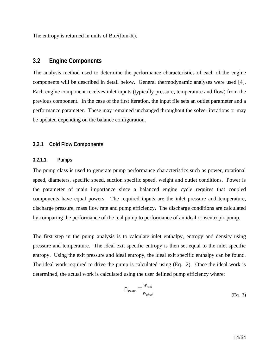The entropy is returned in units of Btu/(lbm-R).

#### **3.2 Engine Components**

The analysis method used to determine the performance characteristics of each of the engine components will be described in detail below. General thermodynamic analyses were used [4]. Each engine component receives inlet inputs (typically pressure, temperature and flow) from the previous component. In the case of the first iteration, the input file sets an outlet parameter and a performance parameter. These may remained unchanged throughout the solver iterations or may be updated depending on the balance configuration.

#### **3.2.1 Cold Flow Components**

#### **3.2.1.1 Pumps**

The pump class is used to generate pump performance characteristics such as power, rotational speed, diameters, specific speed, suction specific speed, weight and outlet conditions. Power is the parameter of main importance since a balanced engine cycle requires that coupled components have equal powers. The required inputs are the inlet pressure and temperature, discharge pressure, mass flow rate and pump efficiency. The discharge conditions are calculated by comparing the performance of the real pump to performance of an ideal or isentropic pump.

The first step in the pump analysis is to calculate inlet enthalpy, entropy and density using pressure and temperature. The ideal exit specific entropy is then set equal to the inlet specific entropy. Using the exit pressure and ideal entropy, the ideal exit specific enthalpy can be found. The ideal work required to drive the pump is calculated using (Eq. 2). Once the ideal work is determined, the actual work is calculated using the user defined pump efficiency where:

$$
\mathbf{h}_{pump} = \frac{W_{real}}{W_{ideal}}
$$
 (Eq. 2)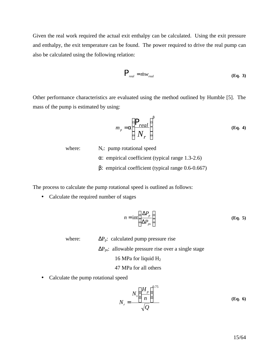Given the real work required the actual exit enthalpy can be calculated. Using the exit pressure and enthalpy, the exit temperature can be found. The power required to drive the real pump can also be calculated using the following relation:

$$
P_{real} = \dot{m}v_{real} \tag{Eq. 3}
$$

Other performance characteristics are evaluated using the method outlined by Humble [5]. The mass of the pump is estimated by using:

$$
m_p = \mathbf{a} \left( \frac{P_{real}}{N_r} \right)^b
$$
 (Eq. 4)

where:  $N_r$ : pump rotational speed α: empirical coefficient (typical range 1.3-2.6) β: empirical coefficient (typical range 0.6-0.667)

The process to calculate the pump rotational speed is outlined as follows:

• Calculate the required number of stages

$$
n = \text{int}\left(\frac{\Delta P_p}{\Delta P_{ps}}\right) \tag{Eq. 5}
$$

where:  $\Delta P_p$ : calculated pump pressure rise

 $\Delta P_{ps}$ : allowable pressure rise over a single stage

16 MPa for liquid H<sup>2</sup>

47 MPa for all others

• Calculate the pump rotational speed

$$
N_r = \frac{N_s \left(\frac{H_p}{n}\right)^{0.75}}{\sqrt{Q}}
$$
 (Eq. 6)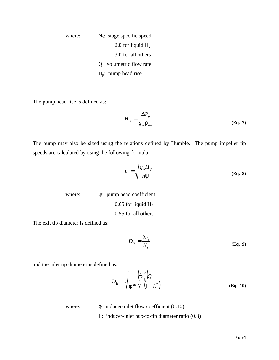where:  $N_s$ : stage specific speed 2.0 for liquid  $H_2$ 3.0 for all others Q: volumetric flow rate Hp: pump head rise

The pump head rise is defined as:

$$
H_p = \frac{\Delta P_p}{g_o \mathbf{r}_{ave}}
$$
 (Eq. 7)

The pump may also be sized using the relations defined by Humble. The pump impeller tip speeds are calculated by using the following formula:

$$
u_t = \sqrt{\frac{g_o H_p}{n y}}
$$
 (Eq. 8)

where:  $\Psi$ : pump head coefficient 0.65 for liquid  $H_2$ 0.55 for all others

The exit tip diameter is defined as:

$$
D_{2t} = \frac{2u_t}{N_r}
$$
 (Eq. 9)

and the inlet tip diameter is defined as:

$$
D_{1t} = \sqrt[3]{\frac{\left(\frac{4}{p}\right)Q}{\mathbf{f} * N_r \left(1 - L^2\right)}}
$$
(Eq. 10)

where:  $\phi$ : inducer-inlet flow coefficient (0.10)

L: inducer-inlet hub-to-tip diameter ratio (0.3)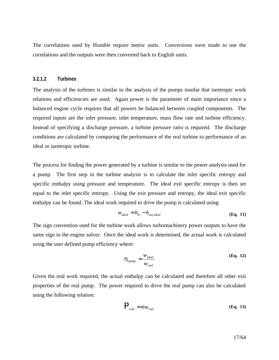The correlations used by Humble require metric units. Conversions were made to use the correlations and the outputs were then converted back to English units.

#### **3.2.1.2 Turbines**

The analysis of the turbines is similar to the analysis of the pumps insofar that isentropic work relations and efficiencies are used. Again power is the parameter of main importance since a balanced engine cycle requires that all powers be balanced between coupled components. The required inputs are the inlet pressure, inlet temperature, mass flow rate and turbine efficiency. Instead of specifying a discharge pressure, a turbine pressure ratio is required. The discharge conditions are calculated by comparing the performance of the real turbine to performance of an ideal or isentropic turbine.

The process for finding the power generated by a turbine is similar to the power analysis used for a pump. The first step in the turbine analysis is to calculate the inlet specific entropy and specific enthalpy using pressure and temperature. The ideal exit specific entropy is then set equal to the inlet specific entropy. Using the exit pressure and entropy, the ideal exit specific enthalpy can be found. The ideal work required to drive the pump is calculated using:

$$
w_{ideal} = h_{in} - h_{out, ideal}
$$
 (Eq. 11)

The sign convention used for the turbine work allows turbomachinery power outputs to have the same sign in the engine solver. Once the ideal work is determined, the actual work is calculated using the user defined pump efficiency where:

$$
\boldsymbol{h}_{pump} = \frac{W_{ideal}}{W_{real}}
$$
 (Eq. 12)

Given the real work required, the actual enthalpy can be calculated and therefore all other exit properties of the real pump. The power required to drive the real pump can also be calculated using the following relation:

$$
P_{real} = \dot{m}w_{real} \tag{Eq. 13}
$$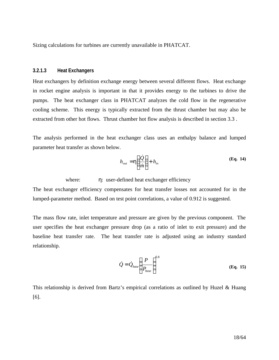Sizing calculations for turbines are currently unavailable in PHATCAT.

#### **3.2.1.3 Heat Exchangers**

Heat exchangers by definition exchange energy between several different flows. Heat exchange in rocket engine analysis is important in that it provides energy to the turbines to drive the pumps. The heat exchanger class in PHATCAT analyzes the cold flow in the regenerative cooling scheme. This energy is typically extracted from the thrust chamber but may also be extracted from other hot flows. Thrust chamber hot flow analysis is described in section 3.3 .

The analysis performed in the heat exchanger class uses an enthalpy balance and lumped parameter heat transfer as shown below.

$$
h_{out} = \mathbf{h} \left( \frac{\dot{Q}}{\dot{m}} \right) + h_{in} \tag{Eq. 14}
$$

where:  $\eta$ : user-defined heat exchanger efficiency

The heat exchanger efficiency compensates for heat transfer losses not accounted for in the lumped-parameter method. Based on test point correlations, a value of 0.912 is suggested.

The mass flow rate, inlet temperature and pressure are given by the previous component. The user specifies the heat exchanger pressure drop (as a ratio of inlet to exit pressure) and the baseline heat transfer rate. The heat transfer rate is adjusted using an industry standard relationship.

$$
\dot{Q} = \dot{Q}_{base} \left( \frac{P}{P_{base}} \right)^{0.8}
$$
 (Eq. 15)

This relationship is derived from Bartz's empirical correlations as outlined by Huzel & Huang [6].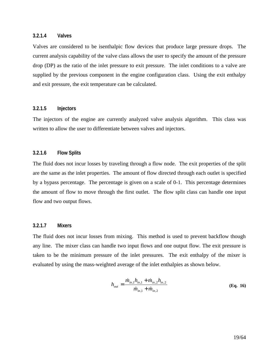#### **3.2.1.4 Valves**

Valves are considered to be isenthalpic flow devices that produce large pressure drops. The current analysis capability of the valve class allows the user to specify the amount of the pressure drop (DP) as the ratio of the inlet pressure to exit pressure. The inlet conditions to a valve are supplied by the previous component in the engine configuration class. Using the exit enthalpy and exit pressure, the exit temperature can be calculated.

#### **3.2.1.5 Injectors**

The injectors of the engine are currently analyzed valve analysis algorithm. This class was written to allow the user to differentiate between valves and injectors.

#### **3.2.1.6 Flow Splits**

The fluid does not incur losses by traveling through a flow node. The exit properties of the split are the same as the inlet properties. The amount of flow directed through each outlet is specified by a bypass percentage. The percentage is given on a scale of 0-1. This percentage determines the amount of flow to move through the first outlet. The flow split class can handle one input flow and two output flows.

#### **3.2.1.7 Mixers**

The fluid does not incur losses from mixing. This method is used to prevent backflow though any line. The mixer class can handle two input flows and one output flow. The exit pressure is taken to be the minimum pressure of the inlet pressures. The exit enthalpy of the mixer is evaluated by using the mass-weighted average of the inlet enthalpies as shown below.

$$
h_{out} = \frac{\dot{m}_{in,1}h_{in,1} + \dot{m}_{in,2}h_{in,2}}{\dot{m}_{in,1} + \dot{m}_{in,2}}
$$
(Eq. 16)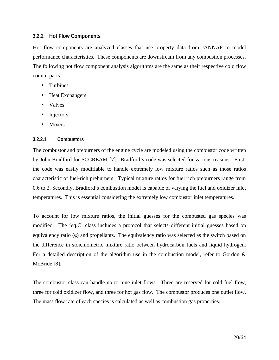#### **3.2.2 Hot Flow Components**

Hot flow components are analyzed classes that use property data from JANNAF to model performance characteristics. These components are downstream from any combustion processes. The following hot flow component analysis algorithms are the same as their respective cold flow counterparts.

- Turbines
- Heat Exchangers
- Valves
- Injectors
- Mixers

#### **3.2.2.1 Combustors**

The combustor and preburners of the engine cycle are modeled using the combustor code written by John Bradford for SCCREAM [7]. Bradford's code was selected for various reasons. First, the code was easily modifiable to handle extremely low mixture ratios such as those ratios characteristic of fuel-rich preburners. Typical mixture ratios for fuel rich preburners range from 0.6 to 2. Secondly, Bradford's combustion model is capable of varying the fuel and oxidizer inlet temperatures. This is essential considering the extremely low combustor inlet temperatures.

To account for low mixture ratios, the initial guesses for the combusted gas species was modified. The 'eq.C' class includes a protocol that selects different initial guesses based on equivalency ratio (φ) and propellants. The equivalency ratio was selected as the switch based on the difference in stoichiometric mixture ratio between hydrocarbon fuels and liquid hydrogen. For a detailed description of the algorithm use in the combustion model, refer to Gordon  $\&$ McBride [8].

The combustor class can handle up to nine inlet flows. Three are reserved for cold fuel flow, three for cold oxidizer flow, and three for hot gas flow. The combustor produces one outlet flow. The mass flow rate of each species is calculated as well as combustion gas properties.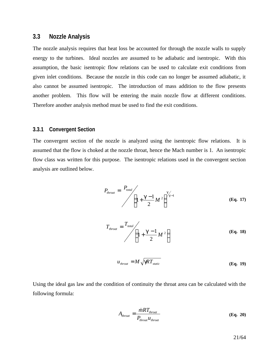#### **3.3 Nozzle Analysis**

The nozzle analysis requires that heat loss be accounted for through the nozzle walls to supply energy to the turbines. Ideal nozzles are assumed to be adiabatic and isentropic. With this assumption, the basic isentropic flow relations can be used to calculate exit conditions from given inlet conditions. Because the nozzle in this code can no longer be assumed adiabatic, it also cannot be assumed isentropic. The introduction of mass addition to the flow presents another problem. This flow will be entering the main nozzle flow at different conditions. Therefore another analysis method must be used to find the exit conditions.

#### **3.3.1 Convergent Section**

The convergent section of the nozzle is analyzed using the isentropic flow relations. It is assumed that the flow is choked at the nozzle throat, hence the Mach number is 1. An isentropic flow class was written for this purpose. The isentropic relations used in the convergent section analysis are outlined below.

$$
P_{\text{throat}} = \frac{P_{\text{total}}}{\left(1 + \frac{g - 1}{2} M^2\right)^{g/2}}
$$
 (Eq. 17)

$$
T_{\text{throat}} = \frac{T_{\text{total}}}{\left(1 + \frac{\mathbf{g} - 1}{2} M^2\right)}
$$
 (Eq. 18)

$$
u_{\text{throat}} = M \sqrt{gRT_{\text{static}}}
$$
 (Eq. 19)

Using the ideal gas law and the condition of continuity the throat area can be calculated with the following formula:

$$
A_{\text{throat}} = \frac{\dot{m}RT_{\text{throat}}}{P_{\text{throat}}u_{\text{throat}}} \tag{Eq. 20}
$$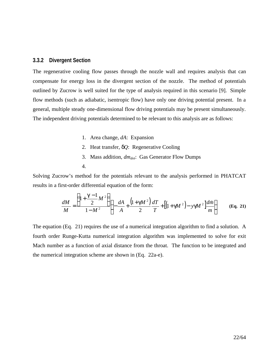#### **3.3.2 Divergent Section**

The regenerative cooling flow passes through the nozzle wall and requires analysis that can compensate for energy loss in the divergent section of the nozzle. The method of potentials outlined by Zucrow is well suited for the type of analysis required in this scenario [9]. Simple flow methods (such as adiabatic, isentropic flow) have only one driving potential present. In a general, multiple steady one-dimensional flow driving potentials may be present simultaneously. The independent driving potentials determined to be relevant to this analysis are as follows:

- 1. Area change, *dA*: Expansion
- 2. Heat transfer, *dQ*: Regenerative Cooling
- 3. Mass addition, *dmdot*: Gas Generator Flow Dumps
- 4.

Solving Zucrow's method for the potentials relevant to the analysis performed in PHATCAT results in a first-order differential equation of the form:

$$
\frac{dM}{M} = \frac{\left(1 + \frac{g-1}{2}M^2\right)}{1 - M^2} \left\{-\frac{dA}{A} + \frac{\left(1 + gM^2\right)}{2} \frac{dT}{T} + \left[\left(1 + gM^2\right) - ygM^2\right] \frac{dm}{m}\right\}
$$
(Eq. 21)

The equation (Eq. 21) requires the use of a numerical integration algorithm to find a solution. A fourth order Runge-Kutta numerical integration algorithm was implemented to solve for exit Mach number as a function of axial distance from the throat. The function to be integrated and the numerical integration scheme are shown in (Eq. 22a-e).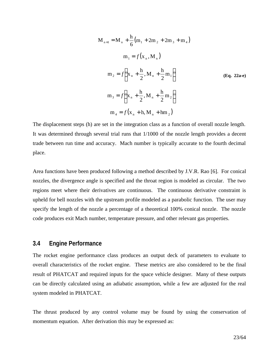$$
M_{n+1} = M_n + \frac{h}{6} (m_1 + 2m_2 + 2m_3 + m_4)
$$
  
\n
$$
m_1 = f(x_n, M_n)
$$
  
\n
$$
m_2 = f\left(x_n + \frac{h}{2}, M_n + \frac{h}{2}m_1\right)
$$
  
\n
$$
m_3 = f\left(x_n + \frac{h}{2}, M_n + \frac{h}{2}m_2\right)
$$
  
\n
$$
m_4 = f(x_n + h, M_n + hm_2)
$$
 (Eq. 22a-e)

The displacement steps (h) are set in the integration class as a function of overall nozzle length. It was determined through several trial runs that 1/1000 of the nozzle length provides a decent trade between run time and accuracy. Mach number is typically accurate to the fourth decimal place.

Area functions have been produced following a method described by J.V.R. Rao [6]. For conical nozzles, the divergence angle is specified and the throat region is modeled as circular. The two regions meet where their derivatives are continuous. The continuous derivative constraint is upheld for bell nozzles with the upstream profile modeled as a parabolic function. The user may specify the length of the nozzle a percentage of a theoretical 100% conical nozzle. The nozzle code produces exit Mach number, temperature pressure, and other relevant gas properties.

#### **3.4 Engine Performance**

The rocket engine performance class produces an output deck of parameters to evaluate to overall characteristics of the rocket engine. These metrics are also considered to be the final result of PHATCAT and required inputs for the space vehicle designer. Many of these outputs can be directly calculated using an adiabatic assumption, while a few are adjusted for the real system modeled in PHATCAT.

The thrust produced by any control volume may be found by using the conservation of momentum equation. After derivation this may be expressed as: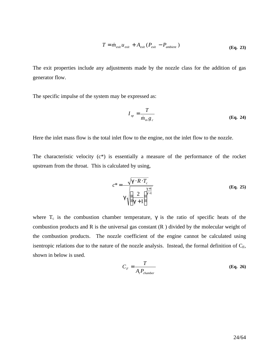$$
T = \dot{m}_{exit} u_{exit} + A_{exit} (P_{exit} - P_{ambient})
$$
\n(Eq. 23)

The exit properties include any adjustments made by the nozzle class for the addition of gas generator flow.

The specific impulse of the system may be expressed as:

$$
I_{sp} = \frac{T}{\dot{m}_{in}g_c}
$$
 (Eq. 24)

Here the inlet mass flow is the total inlet flow to the engine, not the inlet flow to the nozzle.

The characteristic velocity  $(c^*)$  is essentially a measure of the performance of the rocket upstream from the throat. This is calculated by using,

$$
c^* = \frac{\sqrt{\mathbf{g} \cdot R \cdot T_c}}{\mathbf{g} \sqrt{\left(\frac{2}{\mathbf{g} + 1}\right)^{\frac{\mathbf{g} + 1}{\mathbf{g} - 1}}}}
$$
(Eq. 25)

where  $T_c$  is the combustion chamber temperature,  $\gamma$  is the ratio of specific heats of the combustion products and R is the universal gas constant (R ) divided by the molecular weight of the combustion products. The nozzle coefficient of the engine cannot be calculated using isentropic relations due to the nature of the nozzle analysis. Instead, the formal definition of  $C_F$ , shown in below is used.

$$
C_F = \frac{T}{A_t P_{\text{chamber}}}
$$
 (Eq. 26)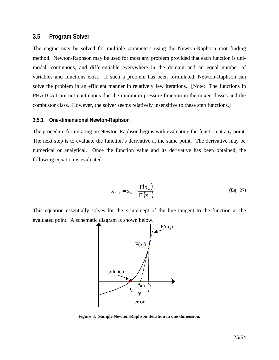#### **3.5 Program Solver**

The engine may be solved for multiple parameters using the Newton-Raphson root finding method. Newton-Raphson may be used for most any problem provided that each function is unimodal, continuous, and differentiable everywhere in the domain and an equal number of variables and functions exist. If such a problem has been formulated, Newton-Raphson can solve the problem in an efficient manner in relatively few iterations. [Note: The functions in PHATCAT are not continuous due the minimum pressure function in the mixer classes and the combustor class. However, the solver seems relatively insensitive to these step functions.]

#### **3.5.1 One-dimensional Newton-Raphson**

The procedure for iterating on Newton-Raphson begins with evaluating the function at any point. The next step is to evaluate the function's derivative at the same point. The derivative may be numerical or analytical. Once the function value and its derivative has been obtained, the following equation is evaluated:

$$
X_{n+1} = X_n - \frac{F(X_n)}{F'(X_n)}
$$
 (Eq. 27)

This equation essentially solves for the x-intercept of the line tangent to the function at the evaluated point. A schematic diagram is shown below.



**Figure 3. Sample Newton-Raphson iteration in one dimension.**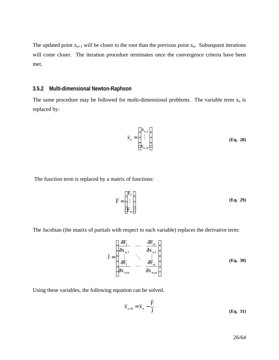The updated point  $x_{n+1}$  will be closer to the root than the previous point  $x_n$ . Subsequent iterations will come closer. The iteration procedure terminates once the convergence criteria have been met.

#### **3.5.2 Multi-dimensional Newton-Raphson**

The same procedure may be followed for multi-dimensional problems. The variable term  $x_n$  is replaced by:

$$
\overline{x}_n = \begin{bmatrix} x_{n,1} \\ \vdots \\ x_{n,m} \end{bmatrix}
$$
 (Eq. 28)

The function term is replaced by a matrix of functions:

$$
\overline{\mathbf{F}} = \begin{bmatrix} \mathbf{F}_1 \\ \vdots \\ \mathbf{F}_m \end{bmatrix}
$$
 (Eq. 29)

The Jacobian (the matrix of partials with respect to each variable) replaces the derivative term:

$$
\bar{J} = \begin{bmatrix} \frac{\partial F_1}{\partial x_{n,1}} & \cdots & \frac{\partial F_m}{\partial x_{n,1}} \\ \vdots & \ddots & \vdots \\ \frac{\partial F_1}{\partial x_{n,m}} & \cdots & \frac{\partial F_m}{\partial x_{n,m}} \end{bmatrix}
$$
(Eq. 30)

Using these variables, the following equation can be solved.

$$
\overline{\mathbf{x}}_{n+1} = \overline{\mathbf{x}}_n - \frac{\overline{\mathbf{F}}}{\overline{\mathbf{j}}}
$$
 (Eq. 31)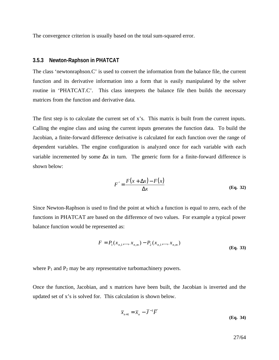The convergence criterion is usually based on the total sum-squared error.

#### **3.5.3 Newton-Raphson in PHATCAT**

The class 'newtonraphson.C' is used to convert the information from the balance file, the current function and its derivative information into a form that is easily manipulated by the solver routine in 'PHATCAT.C'. This class interprets the balance file then builds the necessary matrices from the function and derivative data.

The first step is to calculate the current set of x's. This matrix is built from the current inputs. Calling the engine class and using the current inputs generates the function data. To build the Jacobian, a finite-forward difference derivative is calculated for each function over the range of dependent variables. The engine configuration is analyzed once for each variable with each variable incremented by some  $\Delta x$  in turn. The generic form for a finite-forward difference is shown below:

$$
F' = \frac{F(x + \Delta x) - F(x)}{\Delta x}
$$
 (Eq. 32)

Since Newton-Raphson is used to find the point at which a function is equal to zero, each of the functions in PHATCAT are based on the difference of two values. For example a typical power balance function would be represented as:

$$
F = P_1(x_{n,1},...,x_{n,m}) - P_2(x_{n,1},...,x_{n,m})
$$
\n(Eq. 33)

where  $P_1$  and  $P_2$  may be any representative turbomachinery powers.

Once the function, Jacobian, and x matrices have been built, the Jacobian is inverted and the updated set of x's is solved for. This calculation is shown below.

$$
\overline{x}_{n+1} = \overline{x}_n - \overline{J}^{-1}\overline{F}
$$
 (Eq. 34)

27/64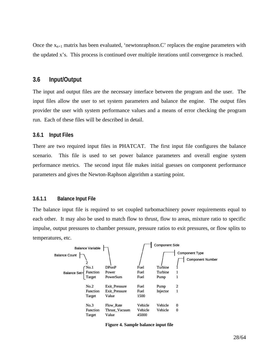Once the  $x_{n+1}$  matrix has been evaluated, 'newtonraphson.C' replaces the engine parameters with the updated x's. This process is continued over multiple iterations until convergence is reached.

#### **3.6 Input/Output**

The input and output files are the necessary interface between the program and the user. The input files allow the user to set system parameters and balance the engine. The output files provider the user with system performance values and a means of error checking the program run. Each of these files will be described in detail.

#### **3.6.1 Input Files**

There are two required input files in PHATCAT. The first input file configures the balance scenario. This file is used to set power balance parameters and overall engine system performance metrics. The second input file makes initial guesses on component performance parameters and gives the Newton-Raphson algorithm a starting point.

#### **3.6.1.1 Balance Input File**

The balance input file is required to set coupled turbomachinery power requirements equal to each other. It may also be used to match flow to thrust, flow to areas, mixture ratio to specific impulse, output pressures to chamber pressure, pressure ratios to exit pressures, or flow splits to temperatures, etc.



**Figure 4. Sample balance input file**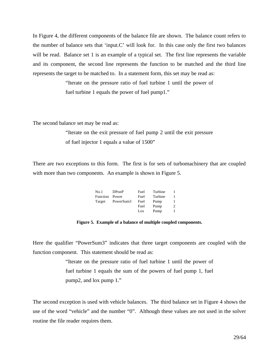In Figure 4, the different components of the balance file are shown. The balance count refers to the number of balance sets that 'input.C' will look for. In this case only the first two balances will be read. Balance set 1 is an example of a typical set. The first line represents the variable and its component, the second line represents the function to be matched and the third line represents the target to be matched to. In a statement form, this set may be read as:

> "Iterate on the pressure ratio of fuel turbine 1 until the power of fuel turbine 1 equals the power of fuel pump1."

The second balance set may be read as:

"Iterate on the exit pressure of fuel pump 2 until the exit pressure of fuel injector 1 equals a value of 1500"

There are two exceptions to this form. The first is for sets of turbomachinery that are coupled with more than two components. An example is shown in Figure 5.

| No.1     | DPonP     | Fuel | Turbine |                |
|----------|-----------|------|---------|----------------|
| Function | Power     | Fuel | Turbine |                |
| Target   | PowerSum3 | Fuel | Pump    |                |
|          |           | Fuel | Pump    | $\overline{c}$ |
|          |           | Lox  | Pump    |                |

**Figure 5. Example of a balance of multiple coupled components.**

Here the qualifier "PowerSum3" indicates that three target components are coupled with the function component. This statement should be read as:

> "Iterate on the pressure ratio of fuel turbine 1 until the power of fuel turbine 1 equals the sum of the powers of fuel pump 1, fuel pump2, and lox pump 1."

The second exception is used with vehicle balances. The third balance set in Figure 4 shows the use of the word "vehicle" and the number "0". Although these values are not used in the solver routine the file reader requires them.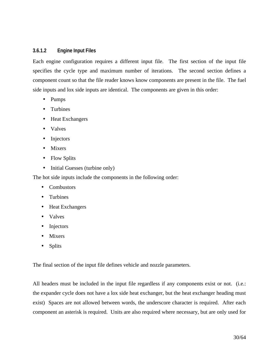#### **3.6.1.2 Engine Input Files**

Each engine configuration requires a different input file. The first section of the input file specifies the cycle type and maximum number of iterations. The second section defines a component count so that the file reader knows know components are present in the file. The fuel side inputs and lox side inputs are identical. The components are given in this order:

- Pumps
- Turbines
- Heat Exchangers
- Valves
- Injectors
- Mixers
- Flow Splits
- Initial Guesses (turbine only)

The hot side inputs include the components in the following order:

- Combustors
- Turbines
- Heat Exchangers
- Valves
- Injectors
- **Mixers**
- Splits

The final section of the input file defines vehicle and nozzle parameters.

All headers must be included in the input file regardless if any components exist or not. (i.e.: the expander cycle does not have a lox side heat exchanger, but the heat exchanger heading must exist) Spaces are not allowed between words, the underscore character is required. After each component an asterisk is required. Units are also required where necessary, but are only used for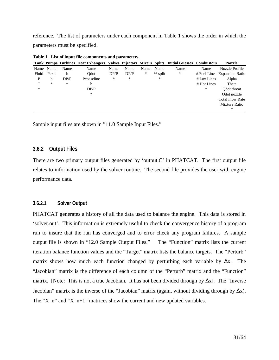reference. The list of parameters under each component in Table 1 shows the order in which the parameters must be specified.

|       |        |        | Tank Pumps Turbines Heat Exhangers Valves Injectors Mixers Splits Initial Guesses Combustors |      |        |        |         |      |               | <b>Nozzle</b>                |
|-------|--------|--------|----------------------------------------------------------------------------------------------|------|--------|--------|---------|------|---------------|------------------------------|
| Name  | Name   | Name   | Name                                                                                         | Name | Name   | Name   | Name    | Name | Name          | Nozzle Profile               |
| Fluid | Pexit  | h      | Odot                                                                                         | DP/P | DP/P   | $\ast$ | % split | $*$  |               | # Fuel Lines Expansion Ratio |
| P     | h      | DP/P   | Pcbaseline                                                                                   | ∗    | $\ast$ |        | ∗       |      | $#$ Lox Lines | Alpha                        |
| т     | $\ast$ | $\ast$ | h                                                                                            |      |        |        |         |      | # Hot Lines   | Theta                        |
| *     |        |        | DP/P                                                                                         |      |        |        |         |      | *             | Odot throat                  |
|       |        |        | $\ast$                                                                                       |      |        |        |         |      |               | Odot nozzle                  |
|       |        |        |                                                                                              |      |        |        |         |      |               | <b>Total Flow Rate</b>       |
|       |        |        |                                                                                              |      |        |        |         |      |               | Mixture Ratio                |
|       |        |        |                                                                                              |      |        |        |         |      |               | *                            |

**Table 1. List of input file components and parameters.**

Sample input files are shown in "11.0 Sample Input Files."

#### **3.6.2 Output Files**

There are two primary output files generated by 'output.C' in PHATCAT. The first output file relates to information used by the solver routine. The second file provides the user with engine performance data.

#### **3.6.2.1 Solver Output**

PHATCAT generates a history of all the data used to balance the engine. This data is stored in 'solver.out'. This information is extremely useful to check the convergence history of a program run to insure that the run has converged and to error check any program failures. A sample output file is shown in "12.0 Sample Output Files." The "Function" matrix lists the current iteration balance function values and the "Target" matrix lists the balance targets. The "Perturb" matrix shows how much each function changed by perturbing each variable by  $\Delta x$ . The "Jacobian" matrix is the difference of each column of the "Perturb" matrix and the "Function" matrix. [Note: This is not a true Jacobian. It has not been divided through by  $\Delta x$ ]. The "Inverse Jacobian" matrix is the inverse of the "Jacobian" matrix (again, without dividing through by  $\Delta x$ ). The "X\_n" and "X\_n+1" matrices show the current and new updated variables.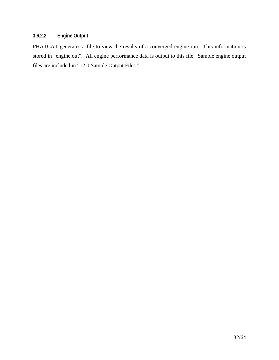#### **3.6.2.2 Engine Output**

PHATCAT generates a file to view the results of a converged engine run. This information is stored in "engine.out". All engine performance data is output to this file. Sample engine output files are included in "12.0 Sample Output Files."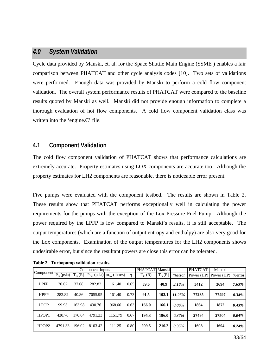#### *4.0 System Validation*

Cycle data provided by Manski, et. al. for the Space Shuttle Main Engine (SSME ) enables a fair comparison between PHATCAT and other cycle analysis codes [10]. Two sets of validations were performed. Enough data was provided by Manski to perform a cold flow component validation. The overall system performance results of PHATCAT were compared to the baseline results quoted by Manski as well. Manski did not provide enough information to complete a thorough evaluation of hot flow components. A cold flow component validation class was written into the 'engine.C' file.

#### **4.1 Component Validation**

The cold flow component validation of PHATCAT shows that performance calculations are extremely accurate. Property estimates using LOX components are accurate too. Although the property estimates for LH2 components are reasonable, there is noticeable error present.

Five pumps were evaluated with the component testbed. The results are shown in Table 2. These results show that PHATCAT performs exceptionally well in calculating the power requirements for the pumps with the exception of the Lox Pressure Fuel Pump. Although the power required by the LPFP is low compared to Manski's results, it is still acceptable. The output temperatures (which are a function of output entropy and enthalpy) are also very good for the Lox components. Examination of the output temperatures for the LH2 components shows undesirable error, but since the resultant powers are close this error can be tolerated.

|                                         |         |             | Component Inputs |                                    |              | <b>PHATCAT</b> Manski |              |          | <b>PHATCAT</b>        | Manski |          |
|-----------------------------------------|---------|-------------|------------------|------------------------------------|--------------|-----------------------|--------------|----------|-----------------------|--------|----------|
| Component $\boxed{P_{in}(\text{psia})}$ |         | $T_{in}(R)$ |                  | $P_{out}$ (psia) $m_{dot}$ (lbm/s) | $\mathsf{n}$ | $T_{in}$ (R)          | $T_{in}$ (R) | %error   | Power (HP) Power (HP) |        | %error   |
| <b>LPFP</b>                             | 30.02   | 37.08       | 282.82           | 161.40                             | 0.65         | 39.6                  | 40.9         | 3.18%    | 3412                  | 3694   | $7.63\%$ |
| <b>HPFP</b>                             | 282.82  | 40.86       | 7055.95          | 161.40                             | 0.73         | 91.5                  | 103.1        | 11.25%   | 77235                 | 77497  | 0.34%    |
| <b>LPOP</b>                             | 99.93   | 163.98      | 430.76           | 968.66                             | 0.63         | 166.0                 | 166.1        | 0.06%    | 1864                  | 1872   | 0.43%    |
| HPOP1                                   | 430.76  | 170.64      | 4791.33          | 1151.79                            | 0.67         | 195.3                 | 196.0        | 0.37%    | 27494                 | 27504  | 0.04%    |
| HPOP <sub>2</sub>                       | 4791.33 | 196.02      | 8103.42          | 111.25                             | 0.80         | 209.5                 | 210.2        | $0.35\%$ | 1698                  | 1694   | 0.24%    |

**Table 2. Turbopump validation results.**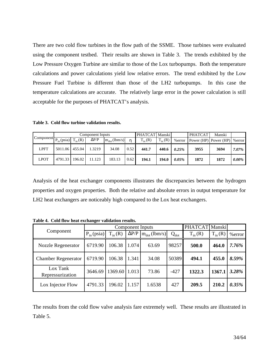There are two cold flow turbines in the flow path of the SSME. Those turbines were evaluated using the component testbed. Their results are shown in Table 3. The trends exhibited by the Low Pressure Oxygen Turbine are similar to those of the Lox turbopumps. Both the temperature calculations and power calculations yield low relative errors. The trend exhibited by the Low Pressure Fuel Turbine is different than those of the LH2 turbopumps. In this case the temperature calculations are accurate. The relatively large error in the power calculation is still acceptable for the purposes of PHATCAT's analysis.

**Table 3. Cold flow turbine validation results.**

| Component $\boxed{P_{in}(psia) \mid T_{in}(R)}$ |                  | Component Inputs |                   |      | PHATCAT Manski |              |          | <b>PHATCAT</b> | Manski                          |          |
|-------------------------------------------------|------------------|------------------|-------------------|------|----------------|--------------|----------|----------------|---------------------------------|----------|
|                                                 |                  | $\Delta P/P$     | $m_{dot}$ (lbm/s) | n    | $T_{in}(R)$    | $T_{in}$ (R) | %error   |                | Power (HP) Power (HP)   % error |          |
| LPFT                                            | 5011.06   455.04 | 1.3219           | 34.08             | 0.52 | 441.7          | 440.6        | $0.25\%$ | 3955           | 3694                            | $7.07\%$ |
| <b>LPOT</b>                                     | 4791.33   196.02 | 11.123           | 183.13            | 0.62 | 194.1          | 194.0        | $0.05\%$ | 1872           | 1872                            | $0.00\%$ |

Analysis of the heat exchanger components illustrates the discrepancies between the hydrogen properties and oxygen properties. Both the relative and absolute errors in output temperature for LH2 heat exchangers are noticeably high compared to the Lox heat exchangers.

|                              |                 |              | <b>Component Inputs</b> | PHATCAT Manski    |           |             |             |          |
|------------------------------|-----------------|--------------|-------------------------|-------------------|-----------|-------------|-------------|----------|
| Component                    | $P_{in}$ (psia) | $T_{in}$ (R) | $\Delta P/P$            | $m_{dot}$ (lbm/s) | $Q_{dot}$ | $T_{in}(R)$ | $T_{in}(R)$ | %error   |
| <b>Nozzle Regenerator</b>    | 6719.90         | 106.38       | 1.074                   | 63.69             | 98257     | 500.0       | 464.0       | 7.76%    |
| <b>Chamber Regenerator</b>   | 6719.90         | 106.38       | 1.341                   | 34.08             | 50389     | 494.1       | 455.0       | 8.59%    |
| Lox Tank<br>Repressurization | 3646.69         | 1369.60      | 1.013                   | 73.86             | $-427$    | 1322.3      | 1367.1      | 3.28%    |
| Lox Injector Flow            | 4791.33         | 196.02       | 1.157                   | 1.6538            | 427       | 209.5       | 210.2       | $0.35\%$ |

**Table 4. Cold flow heat exchanger validation results.** 

The results from the cold flow valve analysis fare extremely well. These results are illustrated in Table 5.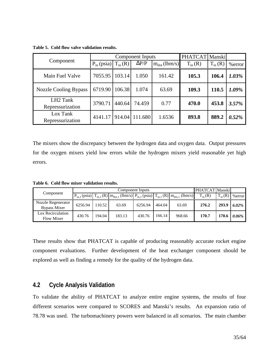|                                          |                 |             | Component Inputs | PHATCAT Manski    |             |             |          |
|------------------------------------------|-----------------|-------------|------------------|-------------------|-------------|-------------|----------|
| Component                                | $P_{in}$ (psia) | $T_{in}(R)$ | $\Delta P/P$     | $m_{dot}$ (lbm/s) | $T_{in}(R)$ | $T_{in}(R)$ | %error   |
| Main Fuel Valve                          | 7055.95         | 103.14      | 1.050            | 161.42            | 105.3       | 106.4       | 1.03%    |
| <b>Nozzle Cooling Bypass</b>             | 6719.90         | 106.38      | 1.074            | 63.69             | 109.3       | 110.5       | 1.09%    |
| LH <sub>2</sub> Tank<br>Repressurization | 3790.71         | 440.64      | 74.459           | 0.77              | 470.0       | 453.8       | 3.57%    |
| Lox Tank<br>Repressurization             | 4141.17         |             | 914.04 111.680   | 1.6536            | 893.8       | 889.2       | $0.52\%$ |

**Table 5. Cold flow valve validation results.**

The mixers show the discrepancy between the hydrogen data and oxygen data. Output pressures for the oxygen mixers yield low errors while the hydrogen mixers yield reasonable yet high errors.

**Table 6. Cold flow mixer validation results.**

|                                           |         | Component Inputs |        |         |        |                                                                                                           |              | <b>PHATCAT Manskil</b> |           |
|-------------------------------------------|---------|------------------|--------|---------|--------|-----------------------------------------------------------------------------------------------------------|--------------|------------------------|-----------|
| Component                                 |         |                  |        |         |        | $P_{in,1}$ (psia) $T_{in,1}$ (R) $m_{dot,1}$ (lbm/s) $P_{in,1}$ (psia) $T_{in,1}$ (R) $m_{dot,1}$ (lbm/s) | $T_{in}$ (R) | $T_{in}(R)$            | $%$ error |
| Nozzle Regenerator<br><b>Bypass Mixer</b> | 6256.94 | 110.52           | 63.69  | 6256.94 | 464.04 | 63.69                                                                                                     | 276.2        | 293.9                  | $6.02\%$  |
| Lox Recirculation<br><b>Flow Mixer</b>    | 430.76  | 194.04           | 183.13 | 430.76  | 166.14 | 968.66                                                                                                    | 170.7        | 170.6                  | 0.06%     |

These results show that PHATCAT is capable of producing reasonably accurate rocket engine component evaluations. Further development of the heat exchanger component should be explored as well as finding a remedy for the quality of the hydrogen data.

#### **4.2 Cycle Analysis Validation**

To validate the ability of PHATCAT to analyze entire engine systems, the results of four different scenarios were compared to SCORES and Manski's results. An expansion ratio of 78.78 was used. The turbomachinery powers were balanced in all scenarios. The main chamber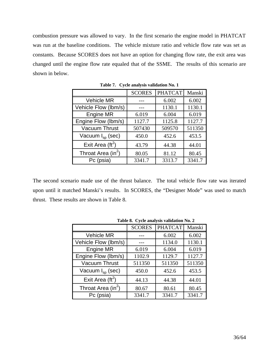combustion pressure was allowed to vary. In the first scenario the engine model in PHATCAT was run at the baseline conditions. The vehicle mixture ratio and vehicle flow rate was set as constants. Because SCORES does not have an option for changing flow rate, the exit area was changed until the engine flow rate equaled that of the SSME. The results of this scenario are shown in below.

|                                | <b>SCORES</b> | <b>PHATCAT</b> | Manski |
|--------------------------------|---------------|----------------|--------|
| <b>Vehicle MR</b>              |               | 6.002          | 6.002  |
| Vehicle Flow (lbm/s)           |               | 1130.1         | 1130.1 |
| <b>Engine MR</b>               | 6.019         | 6.004          | 6.019  |
| Engine Flow (lbm/s)            | 1127.7        | 1125.8         | 1127.7 |
| <b>Vacuum Thrust</b>           | 507430        | 509570         | 511350 |
| Vacuum $I_{\rm SD}$ (sec)      | 450.0         | 452.6          | 453.5  |
| Exit Area ( $\text{ft}^2$ )    | 43.79         | 44.38          | 44.01  |
| Throat Area (in <sup>2</sup> ) | 80.05         | 81.12          | 80.45  |
| Pc (psia)                      | 3341.7        | 3313.7         | 3341.7 |

**Table 7. Cycle analysis validation No. 1**

The second scenario made use of the thrust balance. The total vehicle flow rate was iterated upon until it matched Manski's results. In SCORES, the "Designer Mode" was used to match thrust. These results are shown in Table 8.

|                                | <b>Table 6.</b> Cycle analysis validation Fo. $\boldsymbol{\Sigma}$ |                |        |  |  |  |
|--------------------------------|---------------------------------------------------------------------|----------------|--------|--|--|--|
|                                | <b>SCORES</b>                                                       | <b>PHATCAT</b> | Manski |  |  |  |
| <b>Vehicle MR</b>              |                                                                     | 6.002          | 6.002  |  |  |  |
| Vehicle Flow (lbm/s)           |                                                                     | 1134.0         | 1130.1 |  |  |  |
| Engine MR                      | 6.019                                                               | 6.004          | 6.019  |  |  |  |
| Engine Flow (lbm/s)            | 1102.9                                                              | 1129.7         | 1127.7 |  |  |  |
| <b>Vacuum Thrust</b>           | 511350                                                              | 511350         | 511350 |  |  |  |
| Vacuum I <sub>sp</sub> (sec)   | 450.0                                                               | 452.6          | 453.5  |  |  |  |
| Exit Area ( $\text{ft}^2$ )    | 44.13                                                               | 44.38          | 44.01  |  |  |  |
| Throat Area (in <sup>2</sup> ) | 80.67                                                               | 80.61          | 80.45  |  |  |  |
| Pc (psia)                      | 3341.7                                                              | 3341.7         | 3341.7 |  |  |  |

**Table 8. Cycle analysis validation No. 2**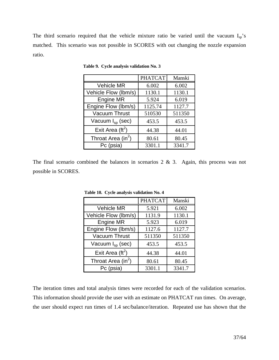The third scenario required that the vehicle mixture ratio be varied until the vacuum  $I_{sp}$ 's matched. This scenario was not possible in SCORES with out changing the nozzle expansion ratio.

|                                | <b>PHATCAT</b> | Manski |
|--------------------------------|----------------|--------|
| <b>Vehicle MR</b>              | 6.002          | 6.002  |
| Vehicle Flow (lbm/s)           | 1130.1         | 1130.1 |
| <b>Engine MR</b>               | 5.924          | 6.019  |
| Engine Flow (lbm/s)            | 1125.74        | 1127.7 |
| <b>Vacuum Thrust</b>           | 510530         | 511350 |
| Vacuum I <sub>sp</sub> (sec)   | 453.5          | 453.5  |
| Exit Area ( $\text{ft}^2$ )    | 44.38          | 44.01  |
| Throat Area (in <sup>2</sup> ) | 80.61          | 80.45  |
| Pc (psia)                      | 3301.1         | 3341.7 |

 **Table 9. Cycle analysis validation No. 3**

The final scenario combined the balances in scenarios  $2 \& 3$ . Again, this process was not possible in SCORES.

|                                | <b>PHATCAT</b> | Manski |
|--------------------------------|----------------|--------|
| <b>Vehicle MR</b>              | 5.921          | 6.002  |
| Vehicle Flow (lbm/s)           | 1131.9         | 1130.1 |
| <b>Engine MR</b>               | 5.923          | 6.019  |
| Engine Flow (lbm/s)            | 1127.6         | 1127.7 |
| <b>Vacuum Thrust</b>           | 511350         | 511350 |
| Vacuum $I_{\rm SD}$ (sec)      | 453.5          | 453.5  |
| Exit Area ( $\text{ft}^2$ )    | 44.38          | 44.01  |
| Throat Area (in <sup>2</sup> ) | 80.61          | 80.45  |
| Pc (psia)                      | 3301.1         | 3341.7 |

 **Table 10. Cycle analysis validation No. 4**

The iteration times and total analysis times were recorded for each of the validation scenarios. This information should provide the user with an estimate on PHATCAT run times. On average, the user should expect run times of 1.4 sec/balance/iteration. Repeated use has shown that the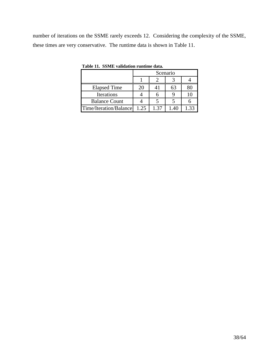number of iterations on the SSME rarely exceeds 12. Considering the complexity of the SSME, these times are very conservative. The runtime data is shown in Table 11.

|                        |      |      | Scenario |      |
|------------------------|------|------|----------|------|
|                        |      |      |          |      |
| <b>Elapsed Time</b>    | 20   |      | 63       |      |
| Iterations             |      |      |          |      |
| <b>Balance Count</b>   |      |      |          |      |
| Time/Iteration/Balance | 1.25 | 1 37 |          | 1 33 |

**Table 11. SSME validation runtime data.**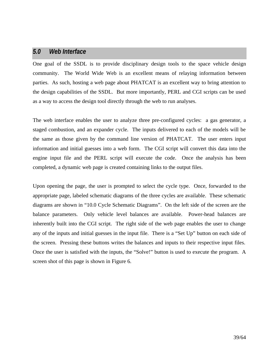#### *5.0 Web Interface*

One goal of the SSDL is to provide disciplinary design tools to the space vehicle design community. The World Wide Web is an excellent means of relaying information between parties. As such, hosting a web page about PHATCAT is an excellent way to bring attention to the design capabilities of the SSDL. But more importantly, PERL and CGI scripts can be used as a way to access the design tool directly through the web to run analyses.

The web interface enables the user to analyze three pre-configured cycles: a gas generator, a staged combustion, and an expander cycle. The inputs delivered to each of the models will be the same as those given by the command line version of PHATCAT. The user enters input information and initial guesses into a web form. The CGI script will convert this data into the engine input file and the PERL script will execute the code. Once the analysis has been completed, a dynamic web page is created containing links to the output files.

Upon opening the page, the user is prompted to select the cycle type. Once, forwarded to the appropriate page, labeled schematic diagrams of the three cycles are available. These schematic diagrams are shown in "10.0 Cycle Schematic Diagrams". On the left side of the screen are the balance parameters. Only vehicle level balances are available. Power-head balances are inherently built into the CGI script. The right side of the web page enables the user to change any of the inputs and initial guesses in the input file. There is a "Set Up" button on each side of the screen. Pressing these buttons writes the balances and inputs to their respective input files. Once the user is satisfied with the inputs, the "Solve!" button is used to execute the program. A screen shot of this page is shown in Figure 6.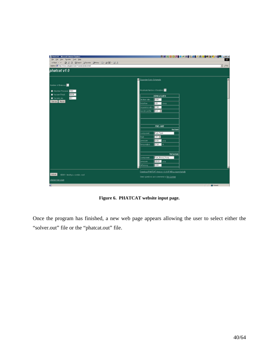

**Figure 6. PHATCAT website input page.**

Once the program has finished, a new web page appears allowing the user to select either the "solver.out" file or the "phatcat.out" file.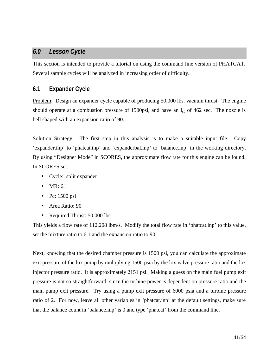#### *6.0 Lesson Cycle*

This section is intended to provide a tutorial on using the command line version of PHATCAT. Several sample cycles will be analyzed in increasing order of difficulty.

#### **6.1 Expander Cycle**

Problem: Design an expander cycle capable of producing 50,000 lbs. vacuum thrust. The engine should operate at a combustion pressure of 1500psi, and have an  $I_{sp}$  of 462 sec. The nozzle is bell shaped with an expansion ratio of 90.

Solution Strategy: The first step in this analysis is to make a suitable input file. Copy 'expander.inp' to 'phatcat.inp' and 'expanderbal.inp' to 'balance.inp' in the working directory. By using "Designer Mode" in SCORES, the approximate flow rate for this engine can be found. In SCORES set:

- Cycle: split expander
- $\bullet$  MR: 6.1
- Pc: 1500 psi
- Area Ratio: 90
- Required Thrust: 50,000 lbs.

This yields a flow rate of 112.208 lbm/s. Modify the total flow rate in 'phatcat.inp' to this value, set the mixture ratio to 6.1 and the expansion ratio to 90.

Next, knowing that the desired chamber pressure is 1500 psi, you can calculate the approximate exit pressure of the lox pump by multiplying 1500 psia by the lox valve pressure ratio and the lox injector pressure ratio. It is approximately 2151 psi. Making a guess on the main fuel pump exit pressure is not so straightforward, since the turbine power is dependent on pressure ratio and the main pump exit pressure. Try using a pump exit pressure of 6000 psia and a turbine pressure ratio of 2. For now, leave all other variables in 'phatcat.inp' at the default settings, make sure that the balance count in 'balance.inp' is 0 and type 'phatcat' from the command line.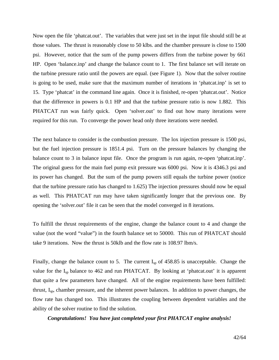Now open the file 'phatcat.out'. The variables that were just set in the input file should still be at those values. The thrust is reasonably close to 50 klbs. and the chamber pressure is close to 1500 psi. However, notice that the sum of the pump powers differs from the turbine power by 661 HP. Open 'balance.inp' and change the balance count to 1. The first balance set will iterate on the turbine pressure ratio until the powers are equal. (see Figure 1). Now that the solver routine is going to be used, make sure that the maximum number of iterations in 'phatcat.inp' is set to 15. Type 'phatcat' in the command line again. Once it is finished, re-open 'phatcat.out'. Notice that the difference in powers is 0.1 HP and that the turbine pressure ratio is now 1.882. This PHATCAT run was fairly quick. Open 'solver.out' to find out how many iterations were required for this run. To converge the power head only three iterations were needed.

The next balance to consider is the combustion pressure. The lox injection pressure is 1500 psi, but the fuel injection pressure is 1851.4 psi. Turn on the pressure balances by changing the balance count to 3 in balance input file. Once the program is run again, re-open 'phatcat.inp'. The original guess for the main fuel pump exit pressure was 6000 psi. Now it is 4346.3 psi and its power has changed. But the sum of the pump powers still equals the turbine power (notice that the turbine pressure ratio has changed to 1.625) The injection pressures should now be equal as well. This PHATCAT run may have taken significantly longer that the previous one. By opening the 'solver.out' file it can be seen that the model converged in 8 iterations.

To fulfill the thrust requirements of the engine, change the balance count to 4 and change the value (not the word "value") in the fourth balance set to 50000. This run of PHATCAT should take 9 iterations. Now the thrust is 50klb and the flow rate is 108.97 lbm/s.

Finally, change the balance count to 5. The current  $I_{sp}$  of 458.85 is unacceptable. Change the value for the I<sub>sp</sub> balance to 462 and run PHATCAT. By looking at 'phatcat.out' it is apparent that quite a few parameters have changed. All of the engine requirements have been fulfilled: thrust, Isp, chamber pressure, and the inherent power balances. In addition to power changes, the flow rate has changed too. This illustrates the coupling between dependent variables and the ability of the solver routine to find the solution.

*Congratulations! You have just completed your first PHATCAT engine analysis!*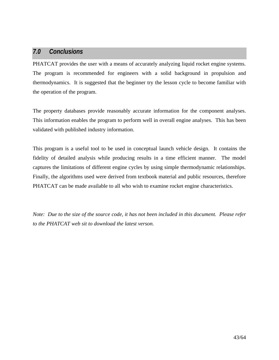#### *7.0 Conclusions*

PHATCAT provides the user with a means of accurately analyzing liquid rocket engine systems. The program is recommended for engineers with a solid background in propulsion and thermodynamics. It is suggested that the beginner try the lesson cycle to become familiar with the operation of the program.

The property databases provide reasonably accurate information for the component analyses. This information enables the program to perform well in overall engine analyses. This has been validated with published industry information.

This program is a useful tool to be used in conceptual launch vehicle design. It contains the fidelity of detailed analysis while producing results in a time efficient manner. The model captures the limitations of different engine cycles by using simple thermodynamic relationships. Finally, the algorithms used were derived from textbook material and public resources, therefore PHATCAT can be made available to all who wish to examine rocket engine characteristics.

*Note: Due to the size of the source code, it has not been included in this document. Please refer to the PHATCAT web sit to download the latest verson.*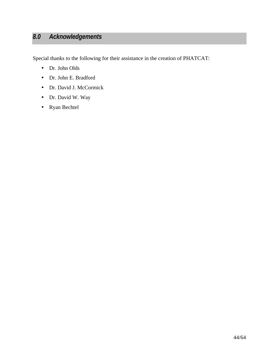## *8.0 Acknowledgements*

Special thanks to the following for their assistance in the creation of PHATCAT:

- Dr. John Olds
- Dr. John E. Bradford
- Dr. David J. McCormick
- Dr. David W. Way
- Ryan Bechtel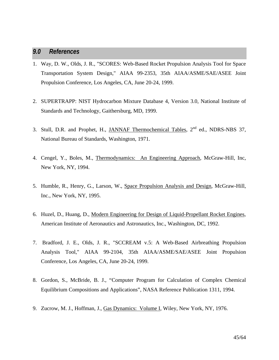#### *9.0 References*

- 1. Way, D. W., Olds, J. R., "SCORES: Web-Based Rocket Propulsion Analysis Tool for Space Transportation System Design," AIAA 99-2353, 35th AIAA/ASME/SAE/ASEE Joint Propulsion Conference, Los Angeles, CA, June 20-24, 1999.
- 2. SUPERTRAPP: NIST Hydrocarbon Mixture Database 4, Version 3.0, National Institute of Standards and Technology, Gaithersburg, MD, 1999.
- 3. Stull, D.R. and Prophet, H., JANNAF Thermochemical Tables, 2<sup>nd</sup> ed., NDRS-NBS 37, National Bureau of Standards, Washington, 1971.
- 4. Cengel, Y., Boles, M., Thermodynamics: An Engineering Approach, McGraw-Hill, Inc, New York, NY, 1994.
- 5. Humble, R., Henry, G., Larson, W., Space Propulsion Analysis and Design, McGraw-Hill, Inc., New York, NY, 1995.
- 6. Huzel, D., Huang, D., Modern Engineering for Design of Liquid-Propellant Rocket Engines, American Institute of Aeronautics and Astronautics, Inc., Washington, DC, 1992.
- 7. Bradford, J. E., Olds, J. R., "SCCREAM v.5: A Web-Based Airbreathing Propulsion Analysis Tool," AIAA 99-2104, 35th AIAA/ASME/SAE/ASEE Joint Propulsion Conference, Los Angeles, CA, June 20-24, 1999.
- 8. Gordon, S., McBride, B. J., "Computer Program for Calculation of Complex Chemical Equilibrium Compositions and Applications", NASA Reference Publication 1311, 1994.
- 9. Zucrow, M. J., Hoffman, J., Gas Dynamics: Volume I, Wiley, New York, NY, 1976.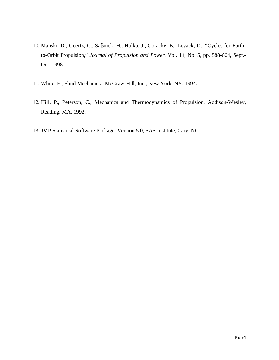- 10. Manski, D., Goertz, C., Saβnick, H., Hulka, J., Goracke, B., Levack, D., "Cycles for Earthto-Orbit Propulsion," *Journal of Propulsion and Power*, Vol. 14, No. 5, pp. 588-604, Sept.- Oct. 1998.
- 11. White, F., Fluid Mechanics. McGraw-Hill, Inc., New York, NY, 1994.
- 12. Hill, P., Peterson, C., Mechanics and Thermodynamics of Propulsion, Addison-Wesley, Reading, MA, 1992.
- 13. JMP Statistical Software Package, Version 5.0, SAS Institute, Cary, NC.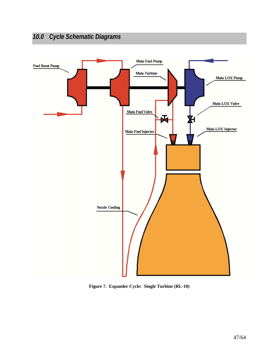## *10.0 Cycle Schematic Diagrams*



**Figure 7. Expander Cycle: Single Turbine (RL-10)**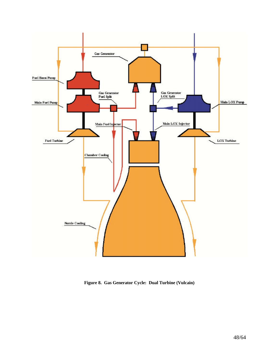

**Figure 8. Gas Generator Cycle: Dual Turbine (Vulcain)**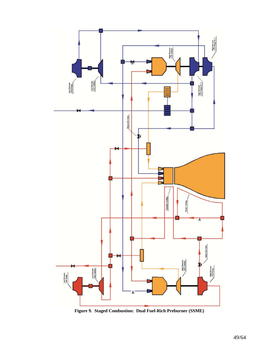

**Figure 9. Staged Combustion: Dual Fuel-Rich Preburner (SSME)**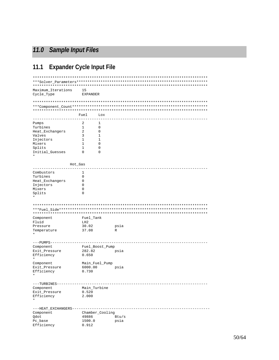## *11.0 Sample Input Files*

## **11.1 Expander Cycle Input File**

| Maximum_Iterations<br>Cycle_Type | 15<br><b>EXPANDER</b> |                 |       |
|----------------------------------|-----------------------|-----------------|-------|
|                                  |                       |                 |       |
|                                  |                       |                 |       |
|                                  |                       |                 |       |
|                                  | Fuel                  | Lox             |       |
| Pumps                            | 2                     | 1               |       |
| Turbines                         | 1                     | 0               |       |
| Heat_Exchangers                  | 2                     | 0               |       |
| Valves                           | 3                     | 1               |       |
|                                  |                       |                 |       |
| Injectors                        | 1                     | 1               |       |
| Mixers                           | 1                     | 0               |       |
| Splits                           | 1                     | 0               |       |
| Initial_Guesses                  | 0                     | 0               |       |
|                                  | Hot_Gas               |                 |       |
|                                  |                       |                 |       |
| Combustors                       | 1                     |                 |       |
| Turbines                         | 0                     |                 |       |
| Heat_Exchangers                  | 0                     |                 |       |
| Injectors                        | 0                     |                 |       |
| Mixers                           | 0                     |                 |       |
| Splits                           | 0                     |                 |       |
| $^\star$                         |                       |                 |       |
|                                  |                       |                 |       |
|                                  |                       |                 |       |
|                                  |                       |                 |       |
| Component                        | Fuel_Tank             |                 |       |
| Fluid                            | LH <sub>2</sub>       |                 |       |
| Pressure                         | 30.02                 |                 | psia  |
|                                  |                       |                 | R     |
| Temperature                      | 37.08                 |                 |       |
|                                  |                       |                 |       |
| $---PUMPS---$<br>Component       |                       | Fuel_Boost_Pump |       |
| Exit_Pressure                    | 282.82                |                 | psia  |
|                                  | 0.650                 |                 |       |
| Efficiency                       |                       |                 |       |
|                                  |                       |                 |       |
| Component                        |                       | Main_Fuel_Pump  |       |
| Exit_Pressure                    | 6000.00               |                 | psia  |
| Efficiency                       | 0.730                 |                 |       |
|                                  |                       |                 |       |
| $---TURBINES---$                 |                       |                 |       |
| Component                        |                       | Main_Turbine    |       |
| Exit_Pressure                    | 0.520                 |                 |       |
| Efficiency                       | 2.000                 |                 |       |
| $^\star$                         |                       |                 |       |
| ---HEAT_EXCHANGERS---------      |                       |                 |       |
| Component                        |                       | Chamber_Cooling |       |
| Qdot                             | 49886                 |                 | Btu/s |
| Pc base                          | 1500.0                |                 | psia  |
| Efficiency                       | 0.912                 |                 |       |
|                                  |                       |                 |       |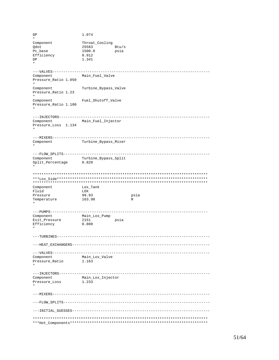DP 1.074 \* Component Throat\_Cooling<br>Qdot 25583  $Btu/s$ Pc\_base 1500.0 psia<br>Efficiency 0.912 Efficiency DP 1.341 \* ---VALVES------------------------------------------------------------------------ Component Main\_Fuel\_Valve Pressure\_Ratio 1.050 \* Component Turbine\_Bypass\_Valve Pressure\_Ratio 1.23 \* Component Fuel\_Shutoff\_Valve Pressure Ratio 1.100 \* ---INJECTORS--------------------------------------------------------------------- Component Main\_Fuel\_Injector Pressure\_Loss 1.134 \* ---MIXERS------------------------------------------------------------------------ Turbine\_Bypass\_Mixer \* ---FLOW\_SPLITS------------------------------------------------------------------- Component Turbine\_Bypass\_Split<br>Split\_Percentage 0.820  $Split\_Percentage$ \* \*\*\*\*\*\*\*\*\*\*\*\*\*\*\*\*\*\*\*\*\*\*\*\*\*\*\*\*\*\*\*\*\*\*\*\*\*\*\*\*\*\*\*\*\*\*\*\*\*\*\*\*\*\*\*\*\*\*\*\*\*\*\*\*\*\*\*\*\*\*\*\*\*\*\*\*\*\*\*\* \*\*\*Lox\_Side\*\*\*\*\*\*\*\*\*\*\*\*\*\*\*\*\*\*\*\*\*\*\*\*\*\*\*\*\*\*\*\*\*\*\*\*\*\*\*\*\*\*\*\*\*\*\*\*\*\*\*\*\*\*\*\*\*\*\*\*\*\*\*\*\*\*\*\*\* \*\*\*\*\*\*\*\*\*\*\*\*\*\*\*\*\*\*\*\*\*\*\*\*\*\*\*\*\*\*\*\*\*\*\*\*\*\*\*\*\*\*\*\*\*\*\*\*\*\*\*\*\*\*\*\*\*\*\*\*\*\*\*\*\*\*\*\*\*\*\*\*\*\*\*\*\*\*\*\* Component Fluid LOX Pressure 99.93 psia<br>
Temperature 163.98 R Temperature \* ---PUMPS------------------------------------------------------------------------ Component Main\_Lox\_Pump Exit\_Pressure 2151 psia Efficiency 0.800 \* ---TURBINES---------------------------------------------------------------------- ---HEAT\_EXCHANGERS--------------------------------------------------------------- ---VALVES------------------------------------------------------------------------ Main\_Lox\_Valve<br>1.163 Pressure\_Ratio \* ---INJECTORS--------------------------------------------------------------------- Component Main\_Lox\_Injector Pressure\_Loss \* ---MIXERS------------------------------------------------------------------------ ---FLOW\_SPLITS------------------------------------------------------------------- ---INITIAL\_GUESSES--------------------------------------------------------------- \*\*\*\*\*\*\*\*\*\*\*\*\*\*\*\*\*\*\*\*\*\*\*\*\*\*\*\*\*\*\*\*\*\*\*\*\*\*\*\*\*\*\*\*\*\*\*\*\*\*\*\*\*\*\*\*\*\*\*\*\*\*\*\*\*\*\*\*\*\*\*\*\*\*\*\*\*\*\*\* \*\*\*Hot\_Components\*\*\*\*\*\*\*\*\*\*\*\*\*\*\*\*\*\*\*\*\*\*\*\*\*\*\*\*\*\*\*\*\*\*\*\*\*\*\*\*\*\*\*\*\*\*\*\*\*\*\*\*\*\*\*\*\*\*\*\*\*\*\*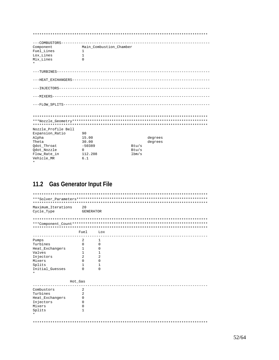| Component           | Main_Combustion_Chamber |       |                    |
|---------------------|-------------------------|-------|--------------------|
| Fuel Lines          | 1                       |       |                    |
| Lox Lines           | 1                       |       |                    |
| Mix_Lines           | $\Omega$                |       |                    |
|                     |                         |       |                    |
|                     |                         |       |                    |
|                     |                         |       |                    |
|                     |                         |       |                    |
|                     |                         |       |                    |
|                     |                         |       |                    |
|                     |                         |       |                    |
|                     |                         |       |                    |
| Nozzle Profile Bell |                         |       |                    |
| Expansion Ratio     | 90<br>15.00             |       |                    |
| Alpha<br>Theta      | 30.00                   |       | degrees<br>degrees |
| Odot Throat         | $-50389$                | Btu/s |                    |
| Qdot_Nozzle         | $\Omega$                | Btu/s |                    |
| Flow Rate in        | 112.208                 | 1bm/s |                    |
| Vehicle MR          | 6.1                     |       |                    |

## 11.2 Gas Generator Input File

| ********************** |          |                  |  |  |  |  |  |  |  |
|------------------------|----------|------------------|--|--|--|--|--|--|--|
|                        |          |                  |  |  |  |  |  |  |  |
|                        |          |                  |  |  |  |  |  |  |  |
| Maximum Iterations     | 20       |                  |  |  |  |  |  |  |  |
| Cycle_Type             |          | <b>GENERATOR</b> |  |  |  |  |  |  |  |
|                        |          |                  |  |  |  |  |  |  |  |
|                        |          |                  |  |  |  |  |  |  |  |
|                        | Fuel     | Lox              |  |  |  |  |  |  |  |
|                        |          |                  |  |  |  |  |  |  |  |
| Pumps                  | 2        | ı                |  |  |  |  |  |  |  |
| Turbines               | 0        | 0                |  |  |  |  |  |  |  |
| Heat_Exchangers        | 1        | 0                |  |  |  |  |  |  |  |
| Valves                 | 1        | 1.               |  |  |  |  |  |  |  |
| Injectors              | 2        | 2                |  |  |  |  |  |  |  |
| Mixers                 | 0        | 0                |  |  |  |  |  |  |  |
| Splits                 | 1        | 1.               |  |  |  |  |  |  |  |
| Initial_Guesses        | $\Omega$ | O                |  |  |  |  |  |  |  |
|                        |          |                  |  |  |  |  |  |  |  |
|                        | Hot Gas  |                  |  |  |  |  |  |  |  |
|                        |          |                  |  |  |  |  |  |  |  |
| Combustors             | 2        |                  |  |  |  |  |  |  |  |
| Turbines               | 2        |                  |  |  |  |  |  |  |  |
| Heat_Exchangers        | 0        |                  |  |  |  |  |  |  |  |
| Injectors              | 0        |                  |  |  |  |  |  |  |  |
| Mixers                 | 0        |                  |  |  |  |  |  |  |  |
| Splits                 | 1        |                  |  |  |  |  |  |  |  |
|                        |          |                  |  |  |  |  |  |  |  |
|                        |          |                  |  |  |  |  |  |  |  |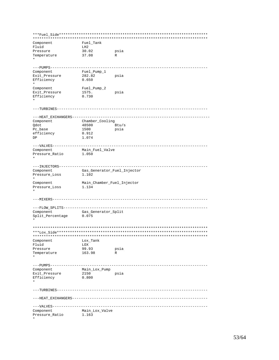\*\*\*Fuel\_Side\*\*\*\*\*\*\*\*\*\*\*\*\*\*\*\*\*\*\*\*\*\*\*\*\*\*\*\*\*\*\*\*\*\*\*\*\*\*\*\*\*\*\*\*\*\*\*\*\*\*\*\*\*\*\*\*\*\*\*\*\*\*\*\*\*\*\*\* \*\*\*\*\*\*\*\*\*\*\*\*\*\*\*\*\*\*\*\*\*\*\*\*\*\*\*\*\*\*\*\*\*\*\*\*\*\*\*\*\*\*\*\*\*\*\*\*\*\*\*\*\*\*\*\*\*\*\*\*\*\*\*\*\*\*\*\*\*\*\*\*\*\*\*\*\*\*\*\* Component Fuel\_Tank<br>Fluid LH2 LH2<br>30.02<br>37.08 Pressure 30.02 psia<br>
There are 37.00 psia Temperature 37.08 R \* ---PUMPS------------------------------------------------------------------------ Component Fuel\_Pump\_1 Exit\_Pressure 282.82 psia Efficiency 0.650 \* Component Fuel\_Pump\_2 Exit\_Pressure 1575. psia Efficiency 0.730 \* ---TURBINES--------------------------------------------------------------------- ---HEAT\_EXCHANGERS--------------------------------------------------------------- Component Chamber\_Cooling<br>  $Qdot$  48500 E Qdot 48500 Btu/s Pc\_base 1500<br>efficiency 0.912 efficiency DP 1.074 ---VALVES----------------------------------------------------------------------- Component Main\_Fuel\_Valve Pressure Ratio 1.050 \* ---INJECTORS-------------------------------------------------------------------- Component Gas\_Generator\_Fuel\_Injector Pressure\_Loss 1.102 \* Component Main\_Chamber\_Fuel\_Injector Pressure\_Loss 1.134 \* ---MIXERS----------------------------------------------------------------------- ---FLOW\_SPLITS------------------------------------------------------------------ Component Gas\_Generator\_Split<br>Split\_Percentage 0.075 Split\_Percentage \* \*\*\*\*\*\*\*\*\*\*\*\*\*\*\*\*\*\*\*\*\*\*\*\*\*\*\*\*\*\*\*\*\*\*\*\*\*\*\*\*\*\*\*\*\*\*\*\*\*\*\*\*\*\*\*\*\*\*\*\*\*\*\*\*\*\*\*\*\*\*\*\*\*\*\*\*\*\*\*\* \*\*\*Lox\_Side\*\*\*\*\*\*\*\*\*\*\*\*\*\*\*\*\*\*\*\*\*\*\*\*\*\*\*\*\*\*\*\*\*\*\*\*\*\*\*\*\*\*\*\*\*\*\*\*\*\*\*\*\*\*\*\*\*\*\*\*\*\*\*\*\*\*\*\*\* \*\*\*\*\*\*\*\*\*\*\*\*\*\*\*\*\*\*\*\*\*\*\*\*\*\*\*\*\*\*\*\*\*\*\*\*\*\*\*\*\*\*\*\*\*\*\*\*\*\*\*\*\*\*\*\*\*\*\*\*\*\*\*\*\*\*\*\*\*\*\*\*\*\*\*\*\*\*\*\* Component Lox\_Tank<br>Fluid LOX Fluid LOX<br>Pressure 99.93 Pressure 99.93 psia<br>Temperature 163.98 R Temperature 163.98 R \* ---PUMPS------------------------------------------------------------------------ Component Main\_Lox\_Pump Exit\_Pressure 2150 psia Efficiency 0.800 \* ---TURBINES--------------------------------------------------------------------- ---HEAT\_EXCHANGERS-------------------------------------------------------------- ---VALVES----------------------------------------------------------------------- Component Main\_Lox\_Valve Pressure\_Ratio 1.163 \*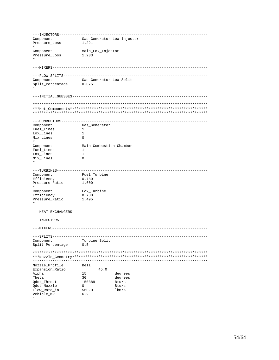| ---INJECTORS-                                  |                            |         |
|------------------------------------------------|----------------------------|---------|
| Component                                      | Gas_Generator_Lox_Injector |         |
| Pressure_Loss                                  | 1.221                      |         |
| Component                                      | Main_Lox_Injector          |         |
| Pressure_Loss                                  | 1.233                      |         |
|                                                |                            |         |
|                                                |                            |         |
| ---MIXERS----------------------------          |                            |         |
| ---FLOW_SPLITS------                           |                            |         |
| Component                                      | Gas_Generator_Lox_Split    |         |
| Split_Percentage                               | 0.075                      |         |
|                                                |                            |         |
|                                                |                            |         |
|                                                |                            |         |
|                                                |                            |         |
| ---COMBUSTORS---------                         |                            |         |
| Component                                      | Gas_Generator              |         |
| Fuel_Lines                                     | 1                          |         |
| Lox_Lines                                      | $\mathbf{1}$               |         |
| Mix_Lines                                      | 0                          |         |
| Component                                      | Main_Combustion_Chamber    |         |
| Fuel Lines                                     | 1                          |         |
| Lox_Lines                                      | $\mathbf{1}$               |         |
|                                                |                            |         |
| Mix_Lines                                      | $\Omega$                   |         |
| ---TURBINES---------                           |                            |         |
| Component                                      | Fuel_Turbine               |         |
| Efficiency                                     | 0.780                      |         |
|                                                | 1.600                      |         |
| Pressure_Ratio                                 |                            |         |
| Component                                      | Lox_Turbine                |         |
| Efficiency                                     | 0.780                      |         |
| Pressure_Ratio                                 | 1.495                      |         |
| ---HEAT_EXCHANGERS---------------------------- |                            |         |
| ---INJECTORS--------------------------         |                            |         |
| ---MIXERS-------                               |                            |         |
| --SPLITS-                                      |                            |         |
| Component                                      | Turbine_Split              |         |
| Split_Percentage                               | 0.5                        |         |
|                                                |                            |         |
|                                                |                            |         |
|                                                |                            |         |
| Nozzle_Profile<br>Expansion_Ratio              | Bell<br>45.0               |         |
| Alpha                                          | 15                         | degrees |
| Theta                                          | 30                         | degrees |
|                                                |                            |         |
| Qdot_Throat                                    | $-50389$                   | Btu/s   |
| Qdot_Nozzle                                    | 0                          | Btu/s   |
| Flow_Rate_in                                   | 560.0                      | 1bm/s   |
| Vehicle_MR                                     | 6.2                        |         |
| $^\star$                                       |                            |         |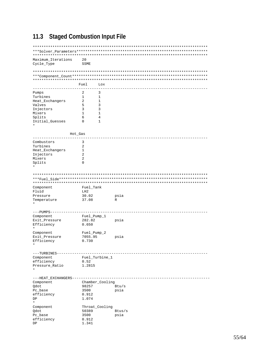## **11.3 Staged Combustion Input File**

| Maximum_Iterations                              | 20                       |        |
|-------------------------------------------------|--------------------------|--------|
| Cycle_Type                                      | <b>SSME</b>              |        |
|                                                 |                          |        |
|                                                 |                          |        |
|                                                 |                          |        |
|                                                 | Fuel<br>Lox              |        |
| Pumps                                           | 3<br>2                   |        |
| Turbines                                        | 1<br>1                   |        |
| Heat_Exchangers                                 | 2<br>1                   |        |
| Valves                                          | 5<br>3                   |        |
| Injectors                                       | 3<br>3                   |        |
| Mixers                                          | 1<br>1                   |        |
| Splits                                          | 6<br>4                   |        |
| Initial_Guesses                                 | 0<br>1                   |        |
| Hot_Gas                                         |                          |        |
|                                                 |                          |        |
| Combustors                                      | 3                        |        |
| Turbines                                        | 2                        |        |
| Heat_Exchangers                                 | 1                        |        |
| Injectors                                       | 2                        |        |
| Mixers                                          | 2                        |        |
| Splits                                          | 0                        |        |
|                                                 |                          |        |
|                                                 |                          |        |
| Component                                       | Fuel_Tank                |        |
| Fluid                                           | LH2                      |        |
| Pressure                                        | 30.02                    | psia   |
| Temperature                                     | 37.08                    | R      |
|                                                 |                          |        |
| ---PUMPS-                                       |                          |        |
| Component                                       | Fuel_Pump_1              |        |
| Exit_Pressure                                   | 282.82                   | psia   |
| Efficiency<br>*                                 | 0.650                    |        |
|                                                 |                          |        |
| Component                                       | Fuel_Pump_2              |        |
| Exit_Pressure                                   | 7055.95<br>0.730         | psia   |
| Efficiency                                      |                          |        |
| ---TURBINES---------------                      |                          |        |
| Component                                       | Fuel_Turbine_1           |        |
| efficiency                                      | 0.52                     |        |
| Pressure_Ratio<br>$^\star$                      | 1.2815                   |        |
|                                                 |                          |        |
| ---HEAT_EXCHANGERS----------------------------- |                          |        |
| Component                                       | Chamber_Cooling<br>98257 | Btu/s  |
| Qdot<br>Pc_base                                 | 3500                     | psia   |
| efficiency                                      | 0.912                    |        |
| DP                                              | 1.074                    |        |
| $^\star$                                        |                          |        |
| Component                                       | Throat_Cooling           |        |
| Qdot                                            | 50389                    | Btus/s |
| Pc_base                                         | 3500                     | psia   |
| efficiency                                      | 0.912                    |        |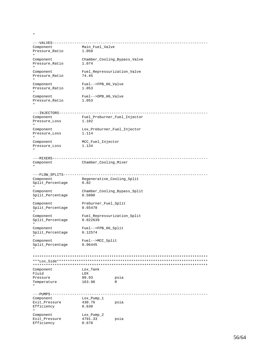\*

```
---VALVES-----------------------------------------------------------------------
                     Main_Fuel_Valve
Pressure_Ratio 1.050
*
Component Chamber_Cooling_Bypass_Valve<br>Pressure Ratio 1.074
Pressure_Ratio 1.074
*
Component Fuel_Repressurization_Valve<br>Pressure_Ratio 74.45
Pressure_Ratio
*
Component<br>
Fuel-->FPB_HG_Valve<br>
Pressure_Ratio<br>
1.053
Pressure_Ratio
*
Component Fuel-->OPB_HG_Valve
Pressure_Ratio 1.053
*
---INJECTORS--------------------------------------------------------------------
Component Fuel_Preburner_Fuel_Injector
Pressure_Loss 1.102
*
\begin{tabular}{ll} \texttt{Component} & \texttt{Lox\_Preburner\_Fuel\_Injector} \\ \texttt{Pressure\_loss} & \texttt{1.114} \end{tabular}Pressure_Loss
*
Component MCC_Fuel_Injector<br>Pressure Loss 1.134
Pressure_Loss
*
---MIXERS-----------------------------------------------------------------------
Component Chamber_Cooling_Mixer
*
---FLOW_SPLITS------------------------------------------------------------------
Component Regenerative_Cooling_Split
Split_Percentage 0.82
*
Component Chamber_Cooling_Bypass_Split
Split_Percentage 0.5000
*
Component Preburner_Fuel_Split<br>Split_Percentage 0.65478
Split_Percentage
*
Component Fuel_Repressurization_Split
Split_Percentage 0.022639
*
Component Fuel-->FPB_HG_Split
Split_Percentage 0.12574
*
Component Fuel-->MCC_Split<br>Split Percentage 0.96445
Split_Percentage
*
********************************************************************************
***Lox_Side*********************************************************************
********************************************************************************
Component
Fluid LOX<br>Pressure 99.93
Pressure 99.93 psia<br>Temperature 163.98 R
Temperature 163.98 R
*
---PUMPS------------------------------------------------------------------------
Component Lox_Pump_1<br>Exit_Pressure 430.76
Exit_Pressure 430.76 psia
Exit_Pressure<br>Efficiency 0.630
*<br>Component
                    Lox_Pump_2<br>4791.33
Exit_Pressure 4791.33 psia<br>Efficiency 0.670
Efficiency
```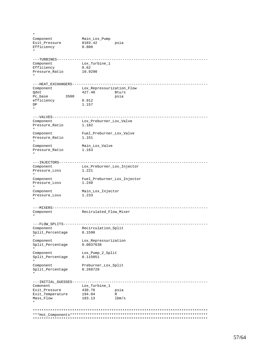```
Component Main_Lox_Pump
Exit_Pressure 8103.42 psia
Efficiency 0.800
*
---TURBINES---------------------------------------------------------------------
                       Lox Turbine 1
Efficiency 0.62
Pressure_Ratio 10.9290
*
---HEAT_EXCHANGERS--------------------------------------------------------------
Component Lox_Repressurization_Flow<br>Qdot 427.40 Btu/s
                       427.40 Btu/s<br>psia
Pc_base 3500 psia
efficiency 0.912
efficiency<br>DP 1.157
*
---VALVES-----------------------------------------------------------------------
Component Lox_Preburner_Lox_Valve
Pressure_Ratio 1.182
*
Component Fuel_Preburner_Lox_Valve
Pressure_Ratio 1.151
*
Component Main_Lox_Valve
Pressure_Ratio 1.163
*
---INJECTORS--------------------------------------------------------------------
\begin{minipage}{0.5\textwidth} \begin{minipage}{0.5\textwidth} \centering \begin{minipage}{0.5\textwidth} \centering \end{minipage} \begin{minipage}{0.5\textwidth} \centering \begin{minipage}{0.5\textwidth} \centering \end{minipage} \begin{minipage}{0.5\textwidth} \centering \end{minipage} \begin{minipage}{0.5\textwidth} \centering \begin{minipage}{0.5\textwidth} \centering \end{minipage} \begin{minipage}{0.5\textwidth} \centering \end{minipage} \begin{minipage}{0.5\textwidth} \centering \begin{minipage}{0.5\textwidth} \centering \centerPressure_Loss
*
Component Fuel_Preburner_Lox_Injector
Pressure_Loss 1.240
*
Component Main_Lox_Injector
Pressure_Loxx 1.233
*
---MIXERS-----------------------------------------------------------------------
Component Recirulated_Flow_Mixer
*
---FLOW_SPLITS------------------------------------------------------------------
Component<br>
Split_Percentage 0.1590<br>
Component 0.1590
Split_Percentage
*
Component Lox_Repressurization
Split_Percentage 0.0037638
*
Component Lox_Pump_2_Split
Split_Percentage 0.115051
*
Component Preburner_Lox_Split
Split_Percentage 0.268728
*
---INITIAL_GUESSES--------------------------------------------------------------
Comonent Lox_Turbine_1
Exit_Pressure 430.76 psia
Exit_Temperature 194.04 R
Mass_Flow 183.13 lbm/s
*
********************************************************************************
***Hot_Components***************************************************************
********************************************************************************
```
\*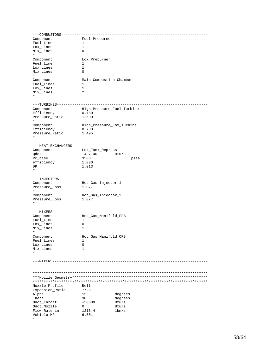---COMBUSTORS------------------------------------------------------------------- Component Fuel\_Preburner Fuel\_Lines 1 Lox\_Lines 1 Mix\_Lines 0 \* Component Lox\_Preburner Fuel\_Line 1 Lox\_Lines 1<br>Mix\_Lines 0 Mix\_Lines 0 \* Component Main\_Combustion\_Chamber Fuel\_Lines 1<br>Toy Lines 1 Lox\_Lines 1<br>Mix\_Lines 2 Mix\_Lines 2 \* ---TURBINES--------------------------------------------------------------------- Component High\_Pressure\_Fuel\_Turbine Efficiency 0.780 Pressure\_Ratio 1.600 \* Component High\_Pressure\_Lox\_Turbine Efficiency 0.780 Pressure\_Ratio 1.495 \* ---HEAT\_EXCHANGERS--------------------------------------------------------------- Component<br>Odot  $-427.40$  Btu/s Pc\_base 3500 psia<br>efficiency 1.000 psia efficiency DP 1.013 \* ---INJECTORS-------------------------------------------------------------------- Component Hot\_Gas\_Injector\_1<br>Pressure\_Loss 1.077 Pressure\_Loss \* Component Hot\_Gas\_Injector\_2 Pressure\_Loss 1.077 \* ---MIXERS----------------------------------------------------------------------- Hot\_Gas\_Manifold\_FPB<br>1 Fuel\_Lines 1<br>Lox Lines 0 Lox\_Lines 0<br>Mix\_Lines 1 Mix\_Lines 1 \* Component Hot\_Gas\_Manifold\_OPB Fuel\_Lines 1 Lox\_Lines 0 Mix\_Lines 1 \* ---MIXERS----------------------------------------------------------------------- \*\*\*\*\*\*\*\*\*\*\*\*\*\*\*\*\*\*\*\*\*\*\*\*\*\*\*\*\*\*\*\*\*\*\*\*\*\*\*\*\*\*\*\*\*\*\*\*\*\*\*\*\*\*\*\*\*\*\*\*\*\*\*\*\*\*\*\*\*\*\*\*\*\*\*\*\*\*\*\* \*\*\*Nozzle\_Geometry\*\*\*\*\*\*\*\*\*\*\*\*\*\*\*\*\*\*\*\*\*\*\*\*\*\*\*\*\*\*\*\*\*\*\*\*\*\*\*\*\*\*\*\*\*\*\*\*\*\*\*\*\*\*\*\*\*\*\*\*\*\* \*\*\*\*\*\*\*\*\*\*\*\*\*\*\*\*\*\*\*\*\*\*\*\*\*\*\*\*\*\*\*\*\*\*\*\*\*\*\*\*\*\*\*\*\*\*\*\*\*\*\*\*\*\*\*\*\*\*\*\*\*\*\*\*\*\*\*\*\*\*\*\*\*\*\*\*\*\*\*\* Nozzle\_Profile Bell Expansion\_Ratio 77.5 Alpha 15 degrees<br>Theta 30 degrees Theta 30 degree<br>Qdot\_Throat -50389 Btu/s Qdot\_Throat -50389 Btu/s Qdot\_Nozzle 0 Btu/s Flow\_Rate\_in 1216.4 lbm/s Vehicle\_MR 6.001

\*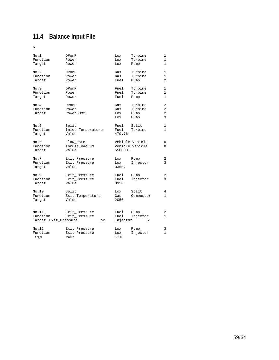## **11.4 Balance Input File**

6

| No.1<br>Function<br>Target                | DPonP<br>Power<br>Power                 | Lox<br>Lox<br>Lox        | Turbine<br>Turbine<br>Pump         | 1<br>$\mathbf{1}$<br>1            |
|-------------------------------------------|-----------------------------------------|--------------------------|------------------------------------|-----------------------------------|
| No.2<br>Function<br>Target                | DPonP<br>Power<br>Power                 | Gas<br>Gas<br>Fuel       | Turbine<br>Turbine<br>Pump         | $\mathbf{1}$<br>1<br>2            |
| No.3<br>Function<br>Target                | DPonP<br>Power<br>Power                 | Fuel<br>Fuel<br>Fuel     | Turbine<br>Turbine<br>Pump         | $\mathbf{1}$<br>$\mathbf{1}$<br>1 |
| No.4<br>Function<br>Target                | DPonP<br>Power<br>PowerSum2             | Gas<br>Gas<br>Lox<br>Lox | Turbine<br>Turbine<br>Pump<br>Pump | 2<br>2<br>2<br>3                  |
| No.5<br>Function<br>Target                | Split<br>Inlet_Temperature<br>Value     | Fuel<br>Fuel<br>479.76   | Split<br>Turbine                   | 1<br>$\mathbf{1}$                 |
| No.6<br>Function<br>Target                | Flow_Rate<br>Thrust_Vacuum<br>Value     | 550000.                  | Vehicle Vehicle<br>Vehicle Vehicle | 0<br>0                            |
| No.7<br>Function<br>Target                | Exit_Pressure<br>Exit_Pressure<br>Value | Lox<br>Lox<br>3350.      | Pump<br>Injector                   | 2<br>3                            |
| No.9<br>Fucntion<br>Target                | Exit_Pressure<br>Exit_Pressure<br>Value | Fuel<br>Fuel<br>3350.    | Pump<br>Injector                   | 2<br>3                            |
| No.10<br>Function<br>Target               | Split<br>Exit_Temperature<br>Value      | Lox<br>Gas<br>2050       | Split<br>Combustor                 | 4<br>1                            |
| No.11<br>Function<br>Target Exit_Pressure | Exit_Pressure<br>Exit_Pressure<br>Lox   | Fuel<br>Fuel<br>Injector | Pump<br>Injector<br>2              | 2<br>1                            |
| No.12<br>Function<br>Target               | Exit_Pressure<br>Exit_Pressure<br>Value | Lox<br>Lox<br>5600.      | Pump<br>Injector                   | 3<br>$\mathbf{1}$                 |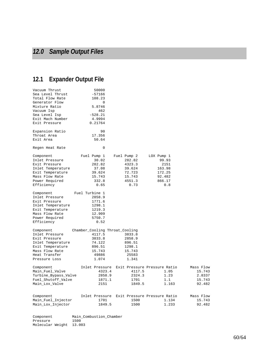## **12.1 Expander Output File**

Pressure 1500 Molecular Weight 13.003

| Vacuum Thrust<br>Sea Level Thrust<br>Total Flow Rate<br>Generator Flow<br>Mixture Ratio<br>Vacuum Isp<br>Sea Level Isp<br>Exit Mach Number<br>Exit Pressure | 50000<br>$-57166$<br>108.23<br>0<br>5.8746<br>462<br>$-528.21$<br>4.9994<br>0.21764 |                                             |                              |           |
|-------------------------------------------------------------------------------------------------------------------------------------------------------------|-------------------------------------------------------------------------------------|---------------------------------------------|------------------------------|-----------|
| Expansion Ratio                                                                                                                                             | 90                                                                                  |                                             |                              |           |
| Throat Area                                                                                                                                                 | 17.356                                                                              |                                             |                              |           |
| Exit Area                                                                                                                                                   | 50.64                                                                               |                                             |                              |           |
| Regen Heat Rate                                                                                                                                             | $\Omega$                                                                            |                                             |                              |           |
| Component                                                                                                                                                   | Fuel Pump 1                                                                         | Fuel Pump 2                                 | LOX Pump 1                   |           |
| Inlet Pressure                                                                                                                                              | 30.02                                                                               | 282.82                                      | 99.93                        |           |
| Exit Pressure                                                                                                                                               | 282.82                                                                              | 4323.3                                      | 2151                         |           |
| Inlet Temperature                                                                                                                                           | 37.08                                                                               | 39.624                                      | 163.98                       |           |
| Exit Temperature                                                                                                                                            | 39.624                                                                              | 72.723                                      | 172.25                       |           |
| Mass Flow Rate                                                                                                                                              | 15.743                                                                              | 15.743                                      | 92.482                       |           |
| Power Required                                                                                                                                              | 332.8                                                                               | 4551.3                                      | 866.17                       |           |
| Efficiency                                                                                                                                                  | 0.65                                                                                | 0.73                                        | 0.8                          |           |
| Component                                                                                                                                                   | Fuel Turbine 1                                                                      |                                             |                              |           |
| Inlet Pressure                                                                                                                                              | 2858.9                                                                              |                                             |                              |           |
| Exit Pressure                                                                                                                                               | 1771.6                                                                              |                                             |                              |           |
| Inlet Temperature                                                                                                                                           | 1298.1                                                                              |                                             |                              |           |
| Exit Temperature                                                                                                                                            | 1219.3                                                                              |                                             |                              |           |
| Mass Flow Rate                                                                                                                                              | 12.909                                                                              |                                             |                              |           |
| Power Required                                                                                                                                              | 5750.7                                                                              |                                             |                              |           |
| Efficiency                                                                                                                                                  | 0.52                                                                                |                                             |                              |           |
| Component                                                                                                                                                   | Chamber_Cooling Throat_Cooling                                                      |                                             |                              |           |
| Inlet Pressure                                                                                                                                              | 4117.5                                                                              | 3833.8                                      |                              |           |
| Exit Pressure                                                                                                                                               | 3833.8                                                                              | 2858.9                                      |                              |           |
| Inlet Temperature                                                                                                                                           | 74.122                                                                              | 896.51                                      |                              |           |
| Exit Temperature                                                                                                                                            | 896.51                                                                              | 1298.1                                      |                              |           |
| Mass Flow Rate                                                                                                                                              | 15.743                                                                              | 15.743                                      |                              |           |
| Heat Transfer                                                                                                                                               | 49886                                                                               | 25583                                       |                              |           |
| Pressure Loss                                                                                                                                               | 1.074                                                                               | 1.341                                       |                              |           |
| Component                                                                                                                                                   |                                                                                     | Inlet Pressure Exit Pressure Pressure Ratio |                              | Mass Flow |
| Main_Fuel_Valve                                                                                                                                             | 4323.4                                                                              | 4117.5                                      | 1.05                         | 15.743    |
| Turbine_Bypass_Valve                                                                                                                                        | 2858.9                                                                              | 2324.3                                      | 1.23                         | 2.8337    |
| Fuel_Shutoff_Valve                                                                                                                                          | 1871.1                                                                              | 1701                                        | 1.1                          | 15.743    |
| Main_Lox_Valve                                                                                                                                              | 2151                                                                                | 1849.5                                      | 1.163                        | 92.482    |
|                                                                                                                                                             |                                                                                     |                                             |                              |           |
| Component                                                                                                                                                   | Inlet Pressure                                                                      |                                             | Exit Pressure Pressure Ratio | Mass Flow |
| Main_Fuel_Injector                                                                                                                                          | 1701                                                                                | 1500                                        | 1.134                        | 15.743    |
| Main_Lox_Injector                                                                                                                                           | 1849.5                                                                              | 1500                                        | 1.233                        | 92.482    |
|                                                                                                                                                             |                                                                                     |                                             |                              |           |
| Component                                                                                                                                                   | Main_Combustion_Chamber                                                             |                                             |                              |           |

60/64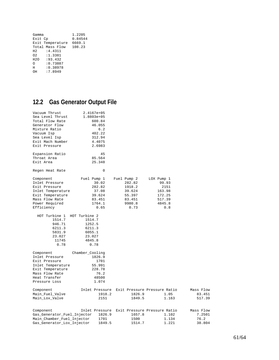| Gamma          |                  | 1.2205  |
|----------------|------------------|---------|
| Exit Cp        |                  | 0.84544 |
|                | Exit Temperature | 6669.1  |
|                | Total Mass Flow  | 108.23  |
| H <sub>2</sub> | :4.4311          |         |
| O <sub>2</sub> | :1.3381          |         |
| H2O            | : 93.432         |         |
| ∩              | : 0.73887        |         |
| Ħ              | : 0.38978        |         |
| ΩH             | :7.8949          |         |

## **12.2 Gas Generator Output File**

| Vacuum Thrust<br>Sea Level Thrust<br>Total Flow Rate<br>Generator Flow<br>Mixture Ratio<br>Vacuum Isp<br>Sea Level Isp<br>Exit Mach Number | 2.4167e+05<br>1.8803e+05<br>600.84<br>46.055<br>6.2<br>402.22<br>312.94<br>4.4075 |                                             |            |           |
|--------------------------------------------------------------------------------------------------------------------------------------------|-----------------------------------------------------------------------------------|---------------------------------------------|------------|-----------|
| Exit Pressure                                                                                                                              | 2.6983                                                                            |                                             |            |           |
|                                                                                                                                            |                                                                                   |                                             |            |           |
| Expansion Ratio                                                                                                                            | 45                                                                                |                                             |            |           |
| Throat Area                                                                                                                                | 85.564                                                                            |                                             |            |           |
| Exit Area                                                                                                                                  | 25.348                                                                            |                                             |            |           |
| Regen Heat Rate                                                                                                                            | $\Omega$                                                                          |                                             |            |           |
| Component                                                                                                                                  | Fuel Pump 1                                                                       | Fuel Pump 2                                 | LOX Pump 1 |           |
| Inlet Pressure                                                                                                                             | 30.02                                                                             | 282.82                                      | 99.93      |           |
| Exit Pressure                                                                                                                              | 282.82                                                                            | 1918.2                                      | 2151       |           |
| Inlet Temperature                                                                                                                          | 37.08                                                                             | 39.624                                      | 163.98     |           |
| Exit Temperature                                                                                                                           | 39.624                                                                            | 55.397                                      | 172.25     |           |
| Mass Flow Rate                                                                                                                             | 83.451                                                                            | 83.451                                      | 517.39     |           |
| Power Required                                                                                                                             | 1764.1                                                                            | 9980.8                                      | 4845.8     |           |
| Efficiency                                                                                                                                 | 0.65                                                                              | 0.73                                        | 0.8        |           |
| HOT Turbine 1                                                                                                                              | HOT Turbine 2                                                                     |                                             |            |           |
| 1514.7                                                                                                                                     | 1514.7                                                                            |                                             |            |           |
| 946.71                                                                                                                                     | 1252.5                                                                            |                                             |            |           |
| 6211.3                                                                                                                                     | 6211.3                                                                            |                                             |            |           |
| 5831.9                                                                                                                                     | 6055.1                                                                            |                                             |            |           |
| 23.027                                                                                                                                     | 23.027                                                                            |                                             |            |           |
| 11745                                                                                                                                      | 4845.8                                                                            |                                             |            |           |
| 0.78                                                                                                                                       | 0.78                                                                              |                                             |            |           |
|                                                                                                                                            |                                                                                   |                                             |            |           |
| Component                                                                                                                                  | Chamber_Cooling                                                                   |                                             |            |           |
| Inlet Pressure                                                                                                                             | 1826.9                                                                            |                                             |            |           |
| Exit Pressure                                                                                                                              | 1701                                                                              |                                             |            |           |
| Inlet Temperature                                                                                                                          | 55.991                                                                            |                                             |            |           |
| Exit Temperature                                                                                                                           | 228.78                                                                            |                                             |            |           |
| Mass Flow Rate                                                                                                                             | 76.2                                                                              |                                             |            |           |
| Heat Transfer                                                                                                                              | 48500                                                                             |                                             |            |           |
| Pressure Loss                                                                                                                              | 1.074                                                                             |                                             |            |           |
| Component                                                                                                                                  |                                                                                   | Inlet Pressure Exit Pressure Pressure Ratio |            | Mass Flow |
| Main_Fuel_Valve                                                                                                                            | 1918.2                                                                            | 1826.9                                      | 1.05       | 83.451    |
| Main_Lox_Valve                                                                                                                             | 2151                                                                              | 1849.5                                      | 1.163      | 517.39    |
|                                                                                                                                            |                                                                                   |                                             |            |           |
| Component                                                                                                                                  |                                                                                   | Inlet Pressure Exit Pressure Pressure Ratio |            | Mass Flow |
| Gas_Generator_Fuel_Injector                                                                                                                | 1826.9                                                                            | 1657.8                                      | 1.102      | 7.2501    |
| Main_Chamber_Fuel_Injector                                                                                                                 | 1701                                                                              | 1500                                        | 1.134      | 76.2      |
| Gas_Generator_Lox_Injector                                                                                                                 | 1849.5                                                                            | 1514.7                                      | 1.221      | 38.804    |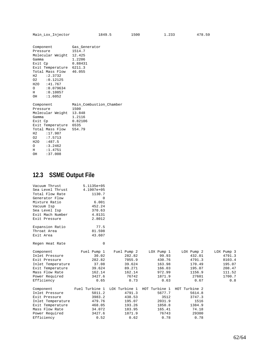| Component<br>Pressure<br>Molecular Weight 12.425<br>Gamma<br>Exit Cp<br>Exit Temperature 6211.3<br>Total Mass Flow 46.055<br>H2 : 2.3732<br>02 : 0.12125<br>H2O :41.767<br>0:0.079634<br>$H$ : 0.10857<br>OH :1.6052 | Gas Generator<br>1514.7<br>1.2206<br>0.88431         |
|----------------------------------------------------------------------------------------------------------------------------------------------------------------------------------------------------------------------|------------------------------------------------------|
| Component<br>Pressure<br>Molecular Weight 13.848<br>Gamma<br>Exit Cp<br>Exit Temperature 6535<br>Total Mass Flow 554.79<br>H2 :17.987<br>02 : 7.5713<br>H2O :487.5<br>0:3.2462<br>$H$ :1.4751<br>OH : 37.008         | Main Combustion Chamber<br>1500<br>1.2116<br>0.82106 |

## **12.3 SSME Output File**

| Vacuum Thrust     | $5.1135e+05$   |               |               |               |            |
|-------------------|----------------|---------------|---------------|---------------|------------|
| Sea Level Thrust  | 4.1907e+05     |               |               |               |            |
| Total Flow Rate   | 1130.7         |               |               |               |            |
| Generator Flow    | $\Omega$       |               |               |               |            |
| Mixture Ratio     | 6.001          |               |               |               |            |
| Vacuum Isp        | 452.24         |               |               |               |            |
| Sea Level Isp     | 370.63         |               |               |               |            |
| Exit Mach Number  | 4.8131         |               |               |               |            |
| Exit Pressure     | 2.8012         |               |               |               |            |
| Expansion Ratio   | 77.5           |               |               |               |            |
| Throat Area       | 81.598         |               |               |               |            |
| Exit Area         | 43.607         |               |               |               |            |
| Regen Heat Rate   | 0              |               |               |               |            |
| Component         | Fuel Pump 1    | Fuel Pump 2   | LOX Pump 1    | LOX Pump 2    | LOX Pump 3 |
| Inlet Pressure    | 30.02          | 282.82        | 99.93         | 432.01        | 4791.3     |
| Exit Pressure     | 282.82         | 7055.9        | 430.76        | 4791.3        | 8103.4     |
| Inlet Temperature | 37.08          | 39.624        | 163.98        | 170.49        | 195.07     |
| Exit Temperature  | 39.624         | 89.271        | 166.03        | 195.07        | 208.47     |
| Mass Flow Rate    | 162.14         | 162.14        | 972.99        | 1156.9        | 111.52     |
| Power Required    | 3427.6         | 76742         | 1871.9        | 27601         | 1700.7     |
| Efficiency        | 0.65           | 0.73          | 0.63          | 0.67          | 0.8        |
| Component         | Fuel Turbine 1 | LOX Turbine 1 | HOT Turbine 1 | HOT Turbine 2 |            |
| Inlet Pressure    | 5011.2         | 4791.3        | 5677.7        | 5614.8        |            |
| Exit Pressure     | 3983.2         | 438.53        | 3512          | 3747.3        |            |
| Inlet Temperature | 479.76         | 195.07        | 2031.9        | 1516          |            |
| Exit Temperature  | 468.05         | 193.26        | 1850.8        | 1384.9        |            |
| Mass Flow Rate    | 34.072         | 183.95        | 165.41        | 74.18         |            |
| Power Required    | 3427.6         | 1871.9        | 76743         | 29300         |            |
| Efficiency        | 0.52           | 0.62          | 0.78          | 0.78          |            |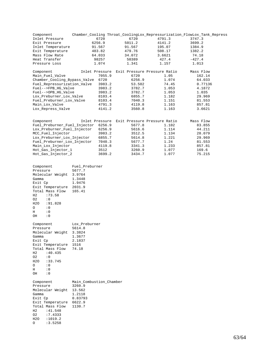| Component                    |                |        |                              | Chamber_Cooling Throat_CoolingLox_Repressurization_FlowLox_Tank_Repress |
|------------------------------|----------------|--------|------------------------------|-------------------------------------------------------------------------|
| Inlet Pressure               | 6720           | 6720   | 4791.3                       | 3747.3                                                                  |
| Exit Pressure                | 6256.9         | 5011.2 | 4141.2                       | 3699.2                                                                  |
| Inlet Temperature            | 91.567         | 91.567 | 195.07                       | 1384.9                                                                  |
| Exit Temperature             | 483.82         | 479.76 | 508.17                       | 1382.2                                                                  |
| Mass Flow Rate               | 64.033         | 34.072 | 3.6621                       | 74.18                                                                   |
| Heat Transfer                | 98257          | 50389  | 427.4                        | $-427.4$                                                                |
| Pressure Loss                | 1.074          | 1.341  | 1.157                        | 1.013                                                                   |
| Component                    | Inlet Pressure |        | Exit Pressure Pressure Ratio | Mass Flow                                                               |
| Main_Fuel_Valve              | 7055.9         | 6720   | 1.05                         | 162.14                                                                  |
| Chamber_Cooling_Bypass_Valve | 6720           | 6256.9 | 1.074                        | 64.033                                                                  |
| Fuel_Repressurization_Valve  | 3983.2         | 53.502 | 74.45                        | 0.77136                                                                 |
| Fuel-->FPB HG Valve          | 3983.2         | 3782.7 | 1.053                        | 4.1872                                                                  |
| Fuel-->OPB_HG_Valve          | 3983.2         | 3782.7 | 1.053                        | 1.035                                                                   |
| Lox_Preburner_Lox_Valve      | 8103.4         | 6855.7 | 1.182                        | 29.969                                                                  |
| Fuel Preburner Lox Valve     | 8103.4         | 7040.3 | 1.151                        | 81.553                                                                  |
| Main Lox Valve               | 4791.3         | 4119.8 | 1.163                        | 857.81                                                                  |
| Lox_Repress_Valve            | 4141.2         | 3560.8 | 1.163                        | 3.6621                                                                  |
| Component                    | Inlet Pressure |        | Exit Pressure Pressure Ratio | Mass Flow                                                               |
| Fuel_Preburner_Fuel_Injector | 6256.9         | 5677.8 | 1.102                        | 83.855                                                                  |
| Lox_Preburner_Fuel_Injector  | 6256.9         | 5616.6 | 1.114                        | 44.211                                                                  |
| MCC Fuel Injector            | 3983.2         | 3512.5 | 1.134                        | 28.079                                                                  |
| Lox_Preburner_Lox_Injector   | 6855.7         | 5614.8 | 1.221                        | 29.969                                                                  |
| Fuel_Preburner_Lox_Injector  | 7040.3         | 5677.7 | 1.24                         | 81.553                                                                  |
| Main Lox Injector            | 4119.8         | 3341.3 | 1.233                        | 857.81                                                                  |
| Hot_Gas_Injector_1           | 3512           | 3260.9 | 1.077                        | 169.6                                                                   |
| Hot Gas Injector 2           | 3699.2         | 3434.7 | 1.077                        | 75.215                                                                  |
| Component                    | Fuel Preburner |        |                              |                                                                         |
| Pressure                     | 5677.7         |        |                              |                                                                         |
| Molecular Weight             | 3.9764         |        |                              |                                                                         |
| Gamma                        | 1.3448         |        |                              |                                                                         |

| Pressure<br>Molecular Weight 3.9764<br>Gamma<br>Exit Cp<br>Exit Temperature 2031.9<br>Total Mass Flow 165.41<br>H2 :73.58<br>$02 \t : 0$<br>H2O :91.828<br>$\circ$<br>$\cdot$ 0<br>$\cdot$ 0<br>H<br>OH : 0 | 5677.7<br>1.3448<br>1.9476                                       |
|-------------------------------------------------------------------------------------------------------------------------------------------------------------------------------------------------------------|------------------------------------------------------------------|
| Component<br>Pressure<br>Molecular Weight 3.3824<br>Gamma<br>Exit Cp<br>Exit Temperature 1516<br>Total Mass Flow 74.18<br>H2 :40.435<br>02 : 0<br>H2O :33.745<br>0: 0<br>$H$ : 0<br>OH : 0                  | Lox_Preburner<br>5614.8<br>1.3677<br>2.1837                      |
| Component<br>Pressure<br>Molecular Weight 13.562<br>Gamma<br>Exit Cp<br>Exit Temperature 6622.9<br>Total Mass Flow<br>H2 : 41.548<br>02<br>:7.4333<br>H20<br>1019.2:<br>3.5258:<br>O                        | Main_Combustion_Chamber<br>3260.9<br>1.2118<br>0.83793<br>1130.7 |